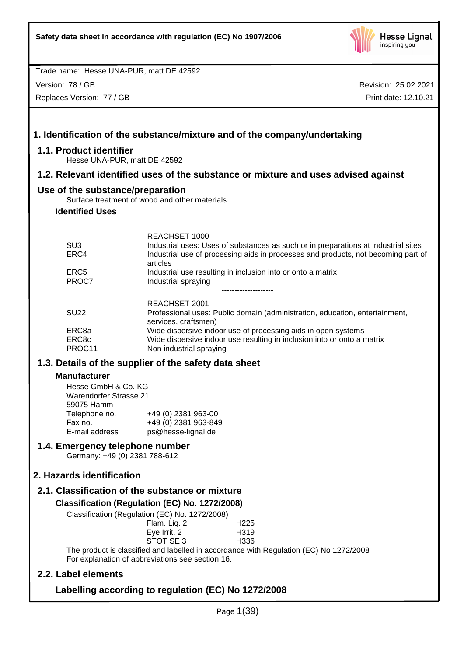

Version: 78 / GB

Replaces Version: 77 / GB

|                                                                                                                                         | 1. Identification of the substance/mixture and of the company/undertaking                                                                                                                            |
|-----------------------------------------------------------------------------------------------------------------------------------------|------------------------------------------------------------------------------------------------------------------------------------------------------------------------------------------------------|
| 1.1. Product identifier<br>Hesse UNA-PUR, matt DE 42592                                                                                 |                                                                                                                                                                                                      |
|                                                                                                                                         | 1.2. Relevant identified uses of the substance or mixture and uses advised against                                                                                                                   |
| Use of the substance/preparation                                                                                                        | Surface treatment of wood and other materials                                                                                                                                                        |
| <b>Identified Uses</b>                                                                                                                  |                                                                                                                                                                                                      |
|                                                                                                                                         | -------------------                                                                                                                                                                                  |
| SU <sub>3</sub><br>ERC4                                                                                                                 | REACHSET 1000<br>Industrial uses: Uses of substances as such or in preparations at industrial sites<br>Industrial use of processing aids in processes and products, not becoming part of<br>articles |
| ERC <sub>5</sub><br>PROC7                                                                                                               | Industrial use resulting in inclusion into or onto a matrix<br>Industrial spraying                                                                                                                   |
|                                                                                                                                         |                                                                                                                                                                                                      |
| <b>SU22</b>                                                                                                                             | <b>REACHSET 2001</b><br>Professional uses: Public domain (administration, education, entertainment,<br>services, craftsmen)                                                                          |
| ERC8a<br>ERC8c<br>PROC11                                                                                                                | Wide dispersive indoor use of processing aids in open systems<br>Wide dispersive indoor use resulting in inclusion into or onto a matrix<br>Non industrial spraying                                  |
|                                                                                                                                         | 1.3. Details of the supplier of the safety data sheet                                                                                                                                                |
| <b>Manufacturer</b><br>Hesse GmbH & Co. KG<br><b>Warendorfer Strasse 21</b><br>59075 Hamm<br>Telephone no.<br>Fax no.<br>E-mail address | +49 (0) 2381 963-00<br>+49 (0) 2381 963-849<br>ps@hesse-lignal.de                                                                                                                                    |
| 1.4. Emergency telephone number<br>Germany: +49 (0) 2381 788-612                                                                        |                                                                                                                                                                                                      |
| 2. Hazards identification                                                                                                               |                                                                                                                                                                                                      |
|                                                                                                                                         | 2.1. Classification of the substance or mixture                                                                                                                                                      |
|                                                                                                                                         | Classification (Regulation (EC) No. 1272/2008)<br>Classification (Regulation (EC) No. 1272/2008)                                                                                                     |
|                                                                                                                                         | Flam. Liq. 2<br>H225<br>Eye Irrit. 2<br>H319<br>STOT SE 3<br>H336                                                                                                                                    |
|                                                                                                                                         | The product is classified and labelled in accordance with Regulation (EC) No 1272/2008<br>For explanation of abbreviations see section 16.                                                           |
| 2.2. Label elements                                                                                                                     |                                                                                                                                                                                                      |
|                                                                                                                                         | Labelling according to regulation (EC) No 1272/2008                                                                                                                                                  |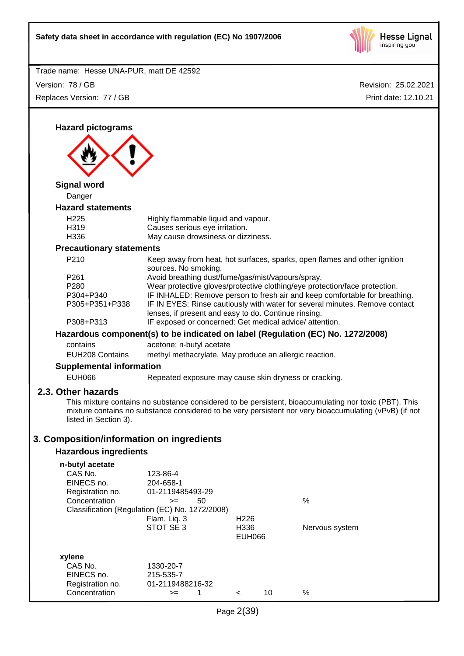

| Trade name: Hesse UNA-PUR, matt DE 42592                                      |                                                                                                                                                                                             |                                           |    |                                                                                                                                                                                                                                                                                                                      |
|-------------------------------------------------------------------------------|---------------------------------------------------------------------------------------------------------------------------------------------------------------------------------------------|-------------------------------------------|----|----------------------------------------------------------------------------------------------------------------------------------------------------------------------------------------------------------------------------------------------------------------------------------------------------------------------|
| Version: 78 / GB                                                              |                                                                                                                                                                                             |                                           |    | Revision: 25.02.2021                                                                                                                                                                                                                                                                                                 |
| Replaces Version: 77 / GB                                                     |                                                                                                                                                                                             |                                           |    | Print date: 12.10.21                                                                                                                                                                                                                                                                                                 |
|                                                                               |                                                                                                                                                                                             |                                           |    |                                                                                                                                                                                                                                                                                                                      |
| <b>Hazard pictograms</b>                                                      |                                                                                                                                                                                             |                                           |    |                                                                                                                                                                                                                                                                                                                      |
| <b>Signal word</b>                                                            |                                                                                                                                                                                             |                                           |    |                                                                                                                                                                                                                                                                                                                      |
| Danger                                                                        |                                                                                                                                                                                             |                                           |    |                                                                                                                                                                                                                                                                                                                      |
| <b>Hazard statements</b>                                                      |                                                                                                                                                                                             |                                           |    |                                                                                                                                                                                                                                                                                                                      |
| H <sub>225</sub><br>H319<br>H336                                              | Highly flammable liquid and vapour.<br>Causes serious eye irritation.<br>May cause drowsiness or dizziness.                                                                                 |                                           |    |                                                                                                                                                                                                                                                                                                                      |
| <b>Precautionary statements</b>                                               |                                                                                                                                                                                             |                                           |    |                                                                                                                                                                                                                                                                                                                      |
| P210<br>P <sub>261</sub><br>P280<br>P304+P340<br>P305+P351+P338<br>P308+P313  | sources. No smoking.<br>Avoid breathing dust/fume/gas/mist/vapours/spray.<br>lenses, if present and easy to do. Continue rinsing.<br>IF exposed or concerned: Get medical advice/attention. |                                           |    | Keep away from heat, hot surfaces, sparks, open flames and other ignition<br>Wear protective gloves/protective clothing/eye protection/face protection.<br>IF INHALED: Remove person to fresh air and keep comfortable for breathing.<br>IF IN EYES: Rinse cautiously with water for several minutes. Remove contact |
|                                                                               |                                                                                                                                                                                             |                                           |    |                                                                                                                                                                                                                                                                                                                      |
| contains<br><b>EUH208 Contains</b>                                            | Hazardous component(s) to be indicated on label (Regulation (EC) No. 1272/2008)<br>acetone; n-butyl acetate<br>methyl methacrylate, May produce an allergic reaction.                       |                                           |    |                                                                                                                                                                                                                                                                                                                      |
| <b>Supplemental information</b><br><b>EUH066</b>                              | Repeated exposure may cause skin dryness or cracking.                                                                                                                                       |                                           |    |                                                                                                                                                                                                                                                                                                                      |
| 2.3. Other hazards<br>listed in Section 3).                                   |                                                                                                                                                                                             |                                           |    | This mixture contains no substance considered to be persistent, bioaccumulating nor toxic (PBT). This<br>mixture contains no substance considered to be very persistent nor very bioaccumulating (vPvB) (if not                                                                                                      |
| 3. Composition/information on ingredients                                     |                                                                                                                                                                                             |                                           |    |                                                                                                                                                                                                                                                                                                                      |
| <b>Hazardous ingredients</b>                                                  |                                                                                                                                                                                             |                                           |    |                                                                                                                                                                                                                                                                                                                      |
| n-butyl acetate<br>CAS No.<br>EINECS no.<br>Registration no.<br>Concentration | 123-86-4<br>204-658-1<br>01-2119485493-29<br>50<br>$>=$<br>Classification (Regulation (EC) No. 1272/2008)<br>Flam. Liq. 3<br>STOT SE 3                                                      | H <sub>226</sub><br>H336<br><b>EUH066</b> |    | $\%$<br>Nervous system                                                                                                                                                                                                                                                                                               |
| xylene<br>CAS No.<br>EINECS no.<br>Registration no.<br>Concentration          | 1330-20-7<br>215-535-7<br>01-2119488216-32<br>1<br>$>=$                                                                                                                                     | $\,<\,$                                   | 10 | $\%$                                                                                                                                                                                                                                                                                                                 |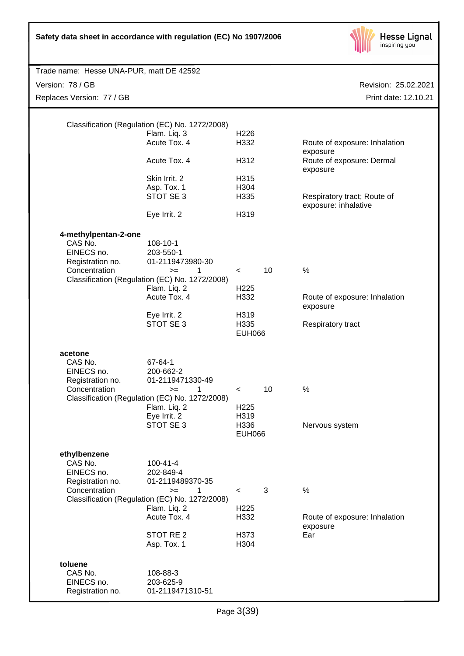

| Trade name: Hesse UNA-PUR, matt DE 42592                                           |                                                                                                                                                                                       |                                                                      |              |                                                                        |
|------------------------------------------------------------------------------------|---------------------------------------------------------------------------------------------------------------------------------------------------------------------------------------|----------------------------------------------------------------------|--------------|------------------------------------------------------------------------|
| Version: 78 / GB                                                                   |                                                                                                                                                                                       |                                                                      |              | Revision: 25.02.2021                                                   |
| Replaces Version: 77 / GB                                                          |                                                                                                                                                                                       |                                                                      |              | Print date: 12.10.21                                                   |
|                                                                                    | Classification (Regulation (EC) No. 1272/2008)<br>Flam. Liq. 3<br>Acute Tox. 4<br>Acute Tox. 4                                                                                        | H <sub>226</sub><br>H332<br>H312                                     |              | Route of exposure: Inhalation<br>exposure<br>Route of exposure: Dermal |
|                                                                                    | Skin Irrit. 2<br>Asp. Tox. 1<br>STOT SE 3<br>Eye Irrit. 2                                                                                                                             | H315<br>H304<br>H335<br>H319                                         |              | exposure<br>Respiratory tract; Route of<br>exposure: inhalative        |
| 4-methylpentan-2-one<br>CAS No.<br>EINECS no.<br>Registration no.<br>Concentration | 108-10-1<br>203-550-1<br>01-2119473980-30<br>1<br>$>=$<br>Classification (Regulation (EC) No. 1272/2008)<br>Flam. Liq. 2<br>Acute Tox. 4<br>Eye Irrit. 2<br>STOT SE 3                 | $\prec$<br>H <sub>225</sub><br>H332<br>H319<br>H335<br><b>EUH066</b> | 10           | %<br>Route of exposure: Inhalation<br>exposure<br>Respiratory tract    |
| acetone<br>CAS No.<br>EINECS no.<br>Registration no.<br>Concentration              | 67-64-1<br>200-662-2<br>01-2119471330-49<br>1<br>$>=$<br>Classification (Regulation (EC) No. 1272/2008)<br>Flam. Liq. 2<br>Eye Irrit. 2<br>STOT SE 3                                  | $\prec$<br>H <sub>225</sub><br>H319<br>H336<br><b>EUH066</b>         | 10           | %<br>Nervous system                                                    |
| ethylbenzene<br>CAS No.<br>EINECS no.<br>Registration no.<br>Concentration         | $100 - 41 - 4$<br>202-849-4<br>01-2119489370-35<br>$>=$<br>1<br>Classification (Regulation (EC) No. 1272/2008)<br>Flam. Liq. 2<br>Acute Tox. 4<br>STOT RE <sub>2</sub><br>Asp. Tox. 1 | $\prec$<br>H <sub>225</sub><br>H332<br>H373<br>H304                  | $\mathbf{3}$ | $\%$<br>Route of exposure: Inhalation<br>exposure<br>Ear               |
| toluene<br>CAS No.<br>EINECS no.<br>Registration no.                               | 108-88-3<br>203-625-9<br>01-2119471310-51                                                                                                                                             |                                                                      |              |                                                                        |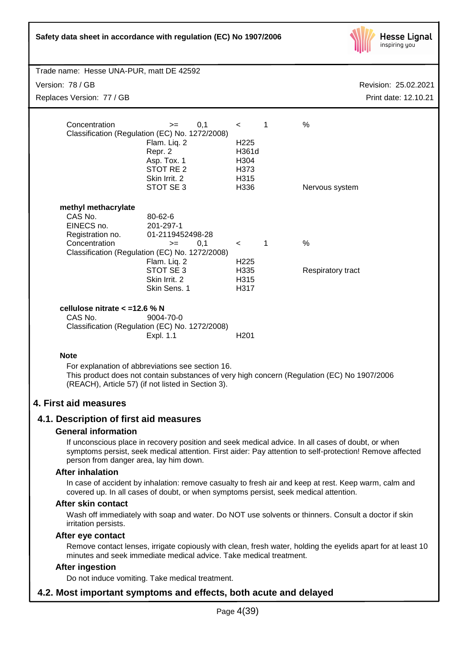| Safety data sheet in accordance with regulation (EC) No 1907/2006 |  |
|-------------------------------------------------------------------|--|
|-------------------------------------------------------------------|--|



|                                            | Trade name: Hesse UNA-PUR, matt DE 42592                    |                           |             |                                                                                             |  |
|--------------------------------------------|-------------------------------------------------------------|---------------------------|-------------|---------------------------------------------------------------------------------------------|--|
| Version: 78 / GB                           | Revision: 25.02.2021                                        |                           |             |                                                                                             |  |
| Replaces Version: 77 / GB                  |                                                             |                           |             | Print date: 12.10.21                                                                        |  |
|                                            |                                                             |                           |             |                                                                                             |  |
| Concentration                              | 0,1<br>$>=$                                                 | $\lt$                     | 1           | $\frac{0}{0}$                                                                               |  |
|                                            | Classification (Regulation (EC) No. 1272/2008)              |                           |             |                                                                                             |  |
|                                            | Flam. Liq. 2                                                | H <sub>225</sub><br>H361d |             |                                                                                             |  |
|                                            | Repr. 2<br>Asp. Tox. 1                                      | H304                      |             |                                                                                             |  |
|                                            | STOT RE <sub>2</sub>                                        | H373                      |             |                                                                                             |  |
|                                            | Skin Irrit. 2                                               | H315                      |             |                                                                                             |  |
|                                            | STOT SE 3                                                   | H336                      |             | Nervous system                                                                              |  |
|                                            |                                                             |                           |             |                                                                                             |  |
| methyl methacrylate                        |                                                             |                           |             |                                                                                             |  |
| CAS No.                                    | 80-62-6                                                     |                           |             |                                                                                             |  |
| EINECS no.                                 | 201-297-1<br>01-2119452498-28                               |                           |             |                                                                                             |  |
| Registration no.<br>Concentration          | 0,1<br>$>=$                                                 |                           | $\mathbf 1$ | %                                                                                           |  |
|                                            | Classification (Regulation (EC) No. 1272/2008)              | $\prec$                   |             |                                                                                             |  |
|                                            | Flam. Liq. 2                                                | H <sub>225</sub>          |             |                                                                                             |  |
|                                            | STOT SE 3                                                   | H335                      |             | Respiratory tract                                                                           |  |
|                                            | Skin Irrit. 2                                               | H315                      |             |                                                                                             |  |
|                                            | Skin Sens. 1                                                | H317                      |             |                                                                                             |  |
|                                            |                                                             |                           |             |                                                                                             |  |
| cellulose nitrate $<$ =12.6 % N<br>CAS No. |                                                             |                           |             |                                                                                             |  |
|                                            | 9004-70-0<br>Classification (Regulation (EC) No. 1272/2008) |                           |             |                                                                                             |  |
|                                            | Expl. 1.1                                                   | H <sub>201</sub>          |             |                                                                                             |  |
|                                            |                                                             |                           |             |                                                                                             |  |
| <b>Note</b>                                |                                                             |                           |             |                                                                                             |  |
|                                            | For explanation of abbreviations see section 16.            |                           |             |                                                                                             |  |
|                                            |                                                             |                           |             | This product does not contain substances of very high concern (Regulation (EC) No 1907/2006 |  |
|                                            | (REACH), Article 57) (if not listed in Section 3).          |                           |             |                                                                                             |  |
|                                            |                                                             |                           |             |                                                                                             |  |

## **4. First aid measures**

## **4.1. Description of first aid measures**

#### **General information**

If unconscious place in recovery position and seek medical advice. In all cases of doubt, or when symptoms persist, seek medical attention. First aider: Pay attention to self-protection! Remove affected person from danger area, lay him down.

#### **After inhalation**

In case of accident by inhalation: remove casualty to fresh air and keep at rest. Keep warm, calm and covered up. In all cases of doubt, or when symptoms persist, seek medical attention.

#### **After skin contact**

Wash off immediately with soap and water. Do NOT use solvents or thinners. Consult a doctor if skin irritation persists.

#### **After eye contact**

Remove contact lenses, irrigate copiously with clean, fresh water, holding the eyelids apart for at least 10 minutes and seek immediate medical advice. Take medical treatment.

## **After ingestion**

Do not induce vomiting. Take medical treatment.

## **4.2. Most important symptoms and effects, both acute and delayed**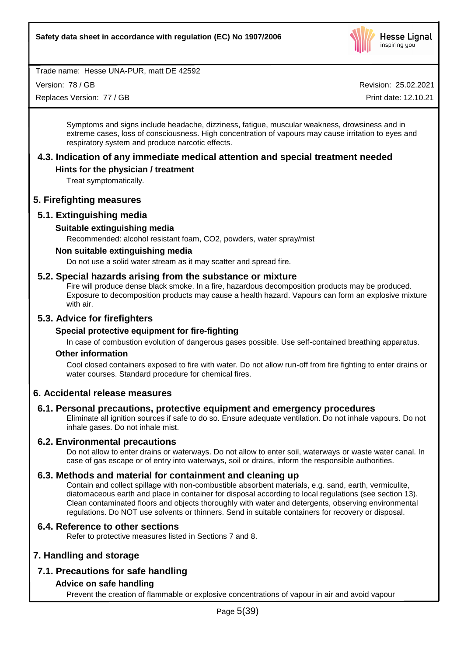

Version: 78 / GB

Replaces Version: 77 / GB

Revision: 25.02.2021

Print date: 12.10.21

Symptoms and signs include headache, dizziness, fatigue, muscular weakness, drowsiness and in extreme cases, loss of consciousness. High concentration of vapours may cause irritation to eyes and respiratory system and produce narcotic effects.

## **4.3. Indication of any immediate medical attention and special treatment needed**

## **Hints for the physician / treatment**

Treat symptomatically.

## **5. Firefighting measures**

## **5.1. Extinguishing media**

## **Suitable extinguishing media**

Recommended: alcohol resistant foam, CO2, powders, water spray/mist

## **Non suitable extinguishing media**

Do not use a solid water stream as it may scatter and spread fire.

## **5.2. Special hazards arising from the substance or mixture**

Fire will produce dense black smoke. In a fire, hazardous decomposition products may be produced. Exposure to decomposition products may cause a health hazard. Vapours can form an explosive mixture with air.

## **5.3. Advice for firefighters**

## **Special protective equipment for fire-fighting**

In case of combustion evolution of dangerous gases possible. Use self-contained breathing apparatus.

#### **Other information**

Cool closed containers exposed to fire with water. Do not allow run-off from fire fighting to enter drains or water courses. Standard procedure for chemical fires.

## **6. Accidental release measures**

## **6.1. Personal precautions, protective equipment and emergency procedures**

Eliminate all ignition sources if safe to do so. Ensure adequate ventilation. Do not inhale vapours. Do not inhale gases. Do not inhale mist.

## **6.2. Environmental precautions**

Do not allow to enter drains or waterways. Do not allow to enter soil, waterways or waste water canal. In case of gas escape or of entry into waterways, soil or drains, inform the responsible authorities.

## **6.3. Methods and material for containment and cleaning up**

Contain and collect spillage with non-combustible absorbent materials, e.g. sand, earth, vermiculite, diatomaceous earth and place in container for disposal according to local regulations (see section 13). Clean contaminated floors and objects thoroughly with water and detergents, observing environmental regulations. Do NOT use solvents or thinners. Send in suitable containers for recovery or disposal.

## **6.4. Reference to other sections**

Refer to protective measures listed in Sections 7 and 8.

## **7. Handling and storage**

## **7.1. Precautions for safe handling**

## **Advice on safe handling**

Prevent the creation of flammable or explosive concentrations of vapour in air and avoid vapour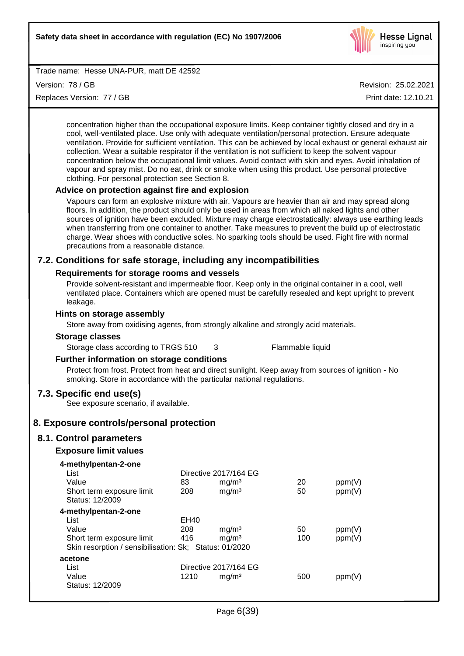

Version: 78 / GB

Replaces Version: 77 / GB

Revision: 25.02.2021

Print date: 12.10.21

concentration higher than the occupational exposure limits. Keep container tightly closed and dry in a cool, well-ventilated place. Use only with adequate ventilation/personal protection. Ensure adequate ventilation. Provide for sufficient ventilation. This can be achieved by local exhaust or general exhaust air collection. Wear a suitable respirator if the ventilation is not sufficient to keep the solvent vapour concentration below the occupational limit values. Avoid contact with skin and eyes. Avoid inhalation of vapour and spray mist. Do no eat, drink or smoke when using this product. Use personal protective clothing. For personal protection see Section 8.

## **Advice on protection against fire and explosion**

Vapours can form an explosive mixture with air. Vapours are heavier than air and may spread along floors. In addition, the product should only be used in areas from which all naked lights and other sources of ignition have been excluded. Mixture may charge electrostatically: always use earthing leads when transferring from one container to another. Take measures to prevent the build up of electrostatic charge. Wear shoes with conductive soles. No sparking tools should be used. Fight fire with normal precautions from a reasonable distance.

## **7.2. Conditions for safe storage, including any incompatibilities**

## **Requirements for storage rooms and vessels**

Provide solvent-resistant and impermeable floor. Keep only in the original container in a cool, well ventilated place. Containers which are opened must be carefully resealed and kept upright to prevent leakage.

## **Hints on storage assembly**

Store away from oxidising agents, from strongly alkaline and strongly acid materials.

#### **Storage classes**

Storage class according to TRGS 510 3 Flammable liquid

## **Further information on storage conditions**

Protect from frost. Protect from heat and direct sunlight. Keep away from sources of ignition - No smoking. Store in accordance with the particular national regulations.

## **7.3. Specific end use(s)**

See exposure scenario, if available.

## **8. Exposure controls/personal protection**

## **8.1. Control parameters**

## **Exposure limit values**

| 4-methylpentan-2-one                                   |                       |                       |     |        |  |
|--------------------------------------------------------|-----------------------|-----------------------|-----|--------|--|
| List                                                   | Directive 2017/164 EG |                       |     |        |  |
| Value                                                  | 83                    | mg/m <sup>3</sup>     | 20  | ppm(V) |  |
| Short term exposure limit                              | 208                   | mg/m <sup>3</sup>     | 50  | ppm(V) |  |
| Status: 12/2009                                        |                       |                       |     |        |  |
| 4-methylpentan-2-one                                   |                       |                       |     |        |  |
| List                                                   | EH40                  |                       |     |        |  |
| Value                                                  | 208                   | mg/m <sup>3</sup>     | 50  | ppm(V) |  |
| Short term exposure limit                              | 416                   | mg/m <sup>3</sup>     | 100 | ppm(V) |  |
| Skin resorption / sensibilisation: Sk; Status: 01/2020 |                       |                       |     |        |  |
| acetone                                                |                       |                       |     |        |  |
| List                                                   |                       | Directive 2017/164 EG |     |        |  |
| Value                                                  | 1210                  | mg/m <sup>3</sup>     | 500 | ppm(V) |  |
| Status: 12/2009                                        |                       |                       |     |        |  |
|                                                        |                       |                       |     |        |  |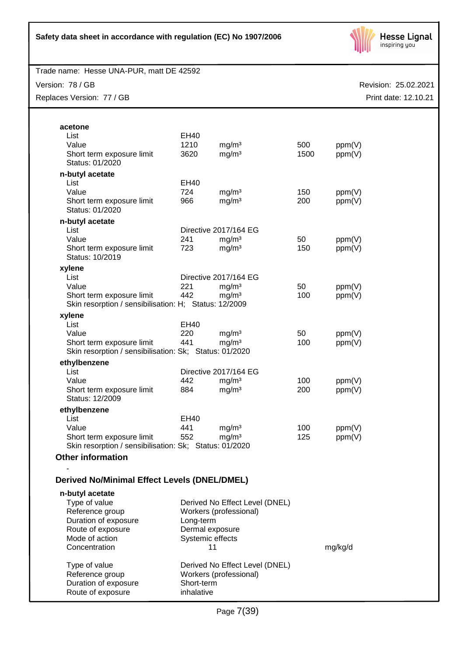

Version: 78 / GB

Replaces Version: 77 / GB

| acetone                                                |                  |                                |            |         |
|--------------------------------------------------------|------------------|--------------------------------|------------|---------|
| List                                                   | EH40             |                                |            |         |
| Value                                                  | 1210             | mg/m <sup>3</sup>              | 500        | ppm(V)  |
| Short term exposure limit                              | 3620             | mg/m <sup>3</sup>              | 1500       | ppm(V)  |
| Status: 01/2020                                        |                  |                                |            |         |
|                                                        |                  |                                |            |         |
| n-butyl acetate                                        |                  |                                |            |         |
| List<br>Value                                          | EH40<br>724      |                                |            |         |
|                                                        |                  | mg/m <sup>3</sup>              | 150<br>200 | ppm(V)  |
| Short term exposure limit<br>Status: 01/2020           | 966              | mg/m <sup>3</sup>              |            | ppm(V)  |
|                                                        |                  |                                |            |         |
| n-butyl acetate                                        |                  |                                |            |         |
| List                                                   |                  | Directive 2017/164 EG          |            |         |
| Value                                                  | 241              | mg/m <sup>3</sup>              | 50         | ppm(V)  |
| Short term exposure limit                              | 723              | mg/m <sup>3</sup>              | 150        | ppm(V)  |
| Status: 10/2019                                        |                  |                                |            |         |
| xylene                                                 |                  |                                |            |         |
| List                                                   |                  | Directive 2017/164 EG          |            |         |
| Value                                                  | 221              | mg/m <sup>3</sup>              | 50         | ppm(V)  |
| Short term exposure limit                              | 442              | mg/m <sup>3</sup>              | 100        | ppm(V)  |
| Skin resorption / sensibilisation: H; Status: 12/2009  |                  |                                |            |         |
| xylene                                                 |                  |                                |            |         |
| List                                                   | EH40             |                                |            |         |
| Value                                                  | 220              | mg/m <sup>3</sup>              | 50         | ppm(V)  |
| Short term exposure limit                              | 441              | mg/m <sup>3</sup>              | 100        | ppm(V)  |
| Skin resorption / sensibilisation: Sk; Status: 01/2020 |                  |                                |            |         |
| ethylbenzene                                           |                  |                                |            |         |
| List                                                   |                  | Directive 2017/164 EG          |            |         |
| Value                                                  | 442              | mg/m <sup>3</sup>              | 100        | ppm(V)  |
| Short term exposure limit                              | 884              | mg/m <sup>3</sup>              | 200        | ppm(V)  |
| Status: 12/2009                                        |                  |                                |            |         |
| ethylbenzene                                           |                  |                                |            |         |
| List                                                   | EH40             |                                |            |         |
| Value                                                  | 441              | mg/m <sup>3</sup>              | 100        | ppm(V)  |
| Short term exposure limit                              | 552              | mg/m <sup>3</sup>              | 125        | ppm(V)  |
| Skin resorption / sensibilisation: Sk; Status: 01/2020 |                  |                                |            |         |
| <b>Other information</b>                               |                  |                                |            |         |
|                                                        |                  |                                |            |         |
| <b>Derived No/Minimal Effect Levels (DNEL/DMEL)</b>    |                  |                                |            |         |
| n-butyl acetate                                        |                  |                                |            |         |
| Type of value                                          |                  | Derived No Effect Level (DNEL) |            |         |
| Reference group                                        |                  | Workers (professional)         |            |         |
| Duration of exposure                                   | Long-term        |                                |            |         |
| Route of exposure                                      | Dermal exposure  |                                |            |         |
| Mode of action                                         | Systemic effects |                                |            |         |
| Concentration                                          | 11               |                                |            | mg/kg/d |
|                                                        |                  |                                |            |         |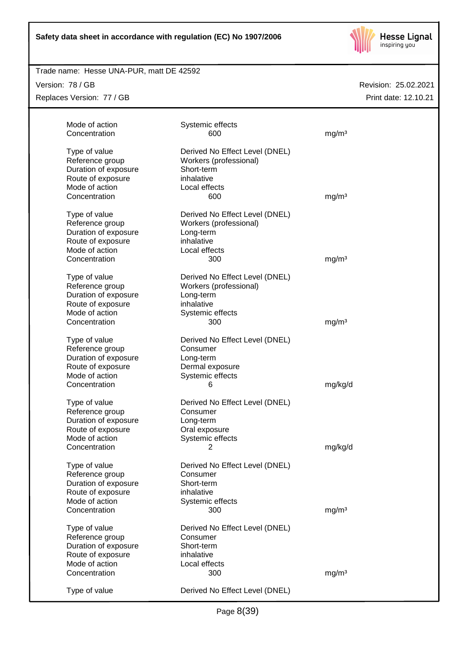

## Trade name: Hesse UNA-PUR, matt DE 42592

Version: 78 / GB Replaces Version: 77 / GB

| Mode of action       | Systemic effects               |                   |
|----------------------|--------------------------------|-------------------|
| Concentration        | 600                            | mg/m <sup>3</sup> |
| Type of value        | Derived No Effect Level (DNEL) |                   |
| Reference group      | Workers (professional)         |                   |
| Duration of exposure | Short-term                     |                   |
| Route of exposure    | inhalative                     |                   |
| Mode of action       | Local effects                  |                   |
| Concentration        | 600                            | mg/m <sup>3</sup> |
| Type of value        | Derived No Effect Level (DNEL) |                   |
| Reference group      | Workers (professional)         |                   |
| Duration of exposure | Long-term                      |                   |
| Route of exposure    | inhalative                     |                   |
| Mode of action       | Local effects                  |                   |
| Concentration        | 300                            | mg/m <sup>3</sup> |
| Type of value        | Derived No Effect Level (DNEL) |                   |
| Reference group      | Workers (professional)         |                   |
| Duration of exposure | Long-term                      |                   |
| Route of exposure    | inhalative                     |                   |
| Mode of action       | Systemic effects               |                   |
| Concentration        | 300                            | mg/m <sup>3</sup> |
| Type of value        | Derived No Effect Level (DNEL) |                   |
| Reference group      | Consumer                       |                   |
| Duration of exposure | Long-term                      |                   |
| Route of exposure    | Dermal exposure                |                   |
| Mode of action       | Systemic effects               |                   |
| Concentration        | 6                              | mg/kg/d           |
| Type of value        | Derived No Effect Level (DNEL) |                   |
| Reference group      | Consumer                       |                   |
| Duration of exposure | Long-term                      |                   |
| Route of exposure    | Oral exposure                  |                   |
| Mode of action       | Systemic effects               |                   |
| Concentration        | 2                              | mg/kg/d           |
| Type of value        | Derived No Effect Level (DNEL) |                   |
| Reference group      | Consumer                       |                   |
| Duration of exposure | Short-term                     |                   |
| Route of exposure    | inhalative                     |                   |
| Mode of action       | Systemic effects               |                   |
| Concentration        | 300                            | mg/m <sup>3</sup> |
| Type of value        | Derived No Effect Level (DNEL) |                   |
| Reference group      | Consumer                       |                   |
| Duration of exposure | Short-term                     |                   |
| Route of exposure    | inhalative                     |                   |
| Mode of action       | Local effects                  |                   |
| Concentration        | 300                            | mg/m <sup>3</sup> |
| Type of value        | Derived No Effect Level (DNEL) |                   |
|                      |                                |                   |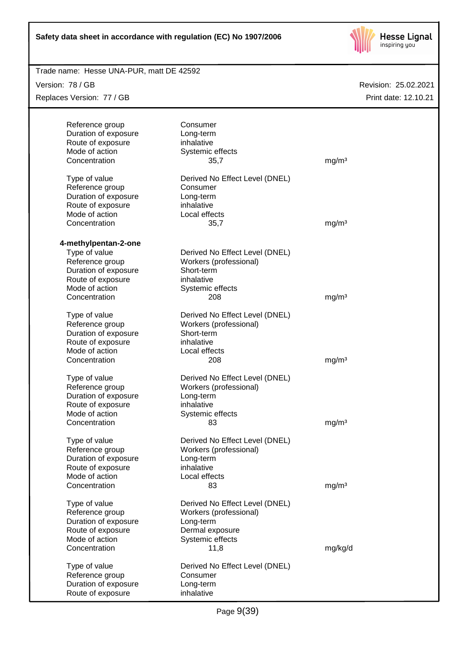

| Trade name: Hesse UNA-PUR, matt DE 42592 |                                |                   |                      |
|------------------------------------------|--------------------------------|-------------------|----------------------|
| Version: 78 / GB                         |                                |                   | Revision: 25.02.2021 |
| Replaces Version: 77 / GB                |                                |                   | Print date: 12.10.21 |
|                                          |                                |                   |                      |
| Reference group                          | Consumer                       |                   |                      |
| Duration of exposure                     | Long-term                      |                   |                      |
| Route of exposure                        | inhalative                     |                   |                      |
| Mode of action                           | Systemic effects               |                   |                      |
| Concentration                            | 35,7                           | mg/m <sup>3</sup> |                      |
| Type of value                            | Derived No Effect Level (DNEL) |                   |                      |
| Reference group                          | Consumer                       |                   |                      |
| Duration of exposure                     | Long-term                      |                   |                      |
| Route of exposure                        | inhalative                     |                   |                      |
| Mode of action                           | Local effects                  |                   |                      |
| Concentration                            | 35,7                           | mg/m <sup>3</sup> |                      |
| 4-methylpentan-2-one                     |                                |                   |                      |
| Type of value                            | Derived No Effect Level (DNEL) |                   |                      |
| Reference group                          | Workers (professional)         |                   |                      |
| Duration of exposure                     | Short-term                     |                   |                      |
| Route of exposure                        | inhalative                     |                   |                      |
| Mode of action                           | Systemic effects               |                   |                      |
| Concentration                            | 208                            | mg/m <sup>3</sup> |                      |
| Type of value                            | Derived No Effect Level (DNEL) |                   |                      |
| Reference group                          | Workers (professional)         |                   |                      |
| Duration of exposure                     | Short-term                     |                   |                      |
| Route of exposure                        | inhalative                     |                   |                      |
| Mode of action                           | Local effects                  |                   |                      |
| Concentration                            | 208                            | mg/m <sup>3</sup> |                      |
| Type of value                            | Derived No Effect Level (DNEL) |                   |                      |
| Reference group                          | Workers (professional)         |                   |                      |
| Duration of exposure                     | Long-term                      |                   |                      |
| Route of exposure                        | inhalative                     |                   |                      |
| Mode of action                           | Systemic effects               |                   |                      |
| Concentration                            | 83                             | mg/m <sup>3</sup> |                      |
| Type of value                            | Derived No Effect Level (DNEL) |                   |                      |
| Reference group                          | Workers (professional)         |                   |                      |
| Duration of exposure                     | Long-term                      |                   |                      |
| Route of exposure                        | inhalative                     |                   |                      |
| Mode of action                           | Local effects                  |                   |                      |
| Concentration                            | 83                             | mg/m <sup>3</sup> |                      |
| Type of value                            | Derived No Effect Level (DNEL) |                   |                      |
| Reference group                          | Workers (professional)         |                   |                      |
| Duration of exposure                     | Long-term                      |                   |                      |
| Route of exposure                        | Dermal exposure                |                   |                      |
| Mode of action                           | Systemic effects               |                   |                      |
| Concentration                            | 11,8                           | mg/kg/d           |                      |
| Type of value                            | Derived No Effect Level (DNEL) |                   |                      |
| Reference group                          | Consumer                       |                   |                      |
| Duration of exposure                     | Long-term                      |                   |                      |
| Route of exposure                        | inhalative                     |                   |                      |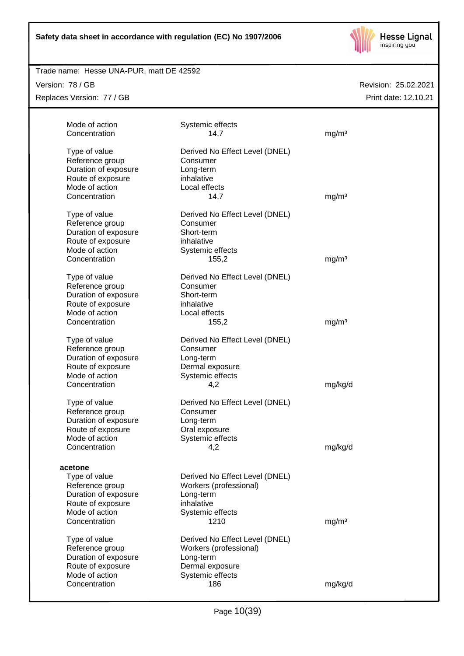

## Trade name: Hesse UNA-PUR, matt DE 42592

Version: 78 / GB Replaces Version: 77 / GB

| Mode of action                      | Systemic effects               |                   |
|-------------------------------------|--------------------------------|-------------------|
| Concentration                       | 14,7                           | mg/m <sup>3</sup> |
| Type of value                       | Derived No Effect Level (DNEL) |                   |
| Reference group                     | Consumer                       |                   |
| Duration of exposure                | Long-term                      |                   |
| Route of exposure                   | inhalative                     |                   |
| Mode of action                      | Local effects                  |                   |
| Concentration                       | 14,7                           | mg/m <sup>3</sup> |
|                                     |                                |                   |
| Type of value                       | Derived No Effect Level (DNEL) |                   |
| Reference group                     | Consumer                       |                   |
| Duration of exposure                | Short-term                     |                   |
| Route of exposure                   | inhalative                     |                   |
| Mode of action                      | Systemic effects               |                   |
| Concentration                       | 155,2                          | mg/m <sup>3</sup> |
| Type of value                       | Derived No Effect Level (DNEL) |                   |
| Reference group                     | Consumer                       |                   |
| Duration of exposure                | Short-term                     |                   |
| Route of exposure                   | inhalative                     |                   |
| Mode of action                      | Local effects                  |                   |
| Concentration                       | 155,2                          | mg/m <sup>3</sup> |
|                                     |                                |                   |
| Type of value                       | Derived No Effect Level (DNEL) |                   |
| Reference group                     | Consumer                       |                   |
| Duration of exposure                | Long-term                      |                   |
| Route of exposure                   | Dermal exposure                |                   |
| Mode of action                      | Systemic effects               |                   |
| Concentration                       | 4,2                            | mg/kg/d           |
| Type of value                       | Derived No Effect Level (DNEL) |                   |
| Reference group                     | Consumer                       |                   |
| Duration of exposure                | Long-term                      |                   |
| Route of exposure                   | Oral exposure                  |                   |
| Mode of action                      | Systemic effects               |                   |
| Concentration                       | 4,2                            | mg/kg/d           |
|                                     |                                |                   |
| acetone                             |                                |                   |
| Type of value                       | Derived No Effect Level (DNEL) |                   |
| Reference group                     | Workers (professional)         |                   |
| Duration of exposure                | Long-term                      |                   |
| Route of exposure                   | inhalative                     |                   |
| Mode of action                      | Systemic effects               |                   |
| Concentration                       | 1210                           | mg/m <sup>3</sup> |
| Type of value                       | Derived No Effect Level (DNEL) |                   |
| Reference group                     | Workers (professional)         |                   |
| Duration of exposure                | Long-term                      |                   |
|                                     | Dermal exposure                |                   |
|                                     |                                |                   |
| Route of exposure<br>Mode of action | Systemic effects               |                   |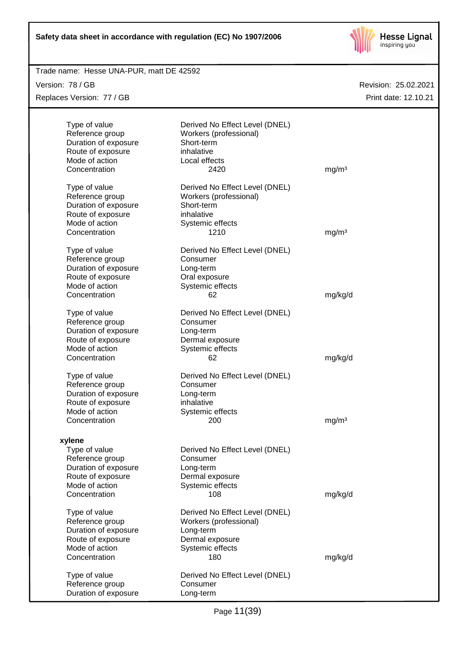

## Revision: 25.02.2021 Trade name: Hesse UNA-PUR, matt DE 42592 Print date: 12.10.21 Version: 78 / GB Replaces Version: 77 / GB Type of value Derived No Effect Level (DNEL) Reference group Workers (professional) Duration of exposure Short-term Route of exposure inhalative Mode of action Local effects Concentration 2420 mg/m<sup>3</sup> Type of value Derived No Effect Level (DNEL) Reference group Workers (professional) Duration of exposure Short-term Route of exposure inhalative Mode of action Systemic effects Concentration 1210 mg/m<sup>3</sup> Type of value Derived No Effect Level (DNEL) Reference group Consumer Duration of exposure Long-term Route of exposure **Caleman Constant Constant Constant** Mode of action Systemic effects Concentration 62 mg/kg/d Type of value Derived No Effect Level (DNEL) Reference group Consumer Duration of exposure Long-term Route of exposure **Dermal exposure** Mode of action Systemic effects Concentration 62 mg/kg/d Type of value Derived No Effect Level (DNEL) Reference group Consumer Duration of exposure Long-term Route of exposure inhalative Mode of action Systemic effects Concentration 200 mg/m<sup>3</sup> **xylene** Type of value Derived No Effect Level (DNEL) Reference group Consumer Duration of exposure Long-term Route of exposure **Dermal** exposure Mode of action Systemic effects Concentration 108 mg/kg/d Type of value Derived No Effect Level (DNEL) Reference group Workers (professional) Duration of exposure **Long-term** Route of exposure **Dermal exposure** Mode of action Systemic effects Concentration 180 mg/kg/d Type of value Derived No Effect Level (DNEL) Reference group Consumer Duration of exposure Long-term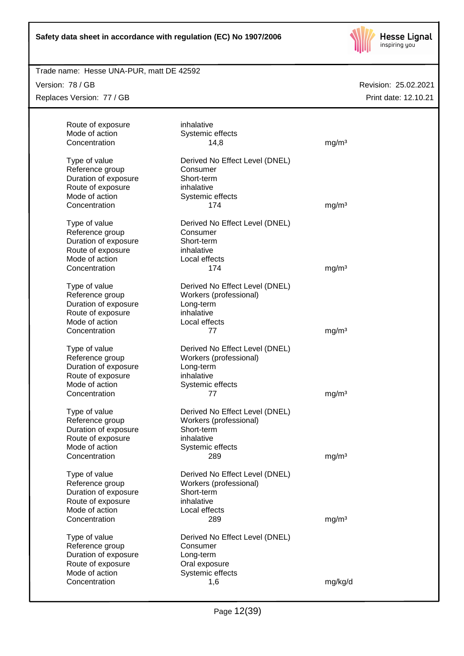

## Trade name: Hesse UNA-PUR, matt DE 42592

Version: 78 / GB Replaces Version: 77 / GB

| Route of exposure                   | inhalative                                               |                   |
|-------------------------------------|----------------------------------------------------------|-------------------|
| Mode of action                      | Systemic effects                                         |                   |
| Concentration                       | 14,8                                                     | mg/m <sup>3</sup> |
|                                     |                                                          |                   |
| Type of value                       | Derived No Effect Level (DNEL)                           |                   |
| Reference group                     | Consumer                                                 |                   |
| Duration of exposure                | Short-term                                               |                   |
| Route of exposure<br>Mode of action | inhalative                                               |                   |
| Concentration                       | Systemic effects<br>174                                  | mg/m <sup>3</sup> |
|                                     |                                                          |                   |
| Type of value                       | Derived No Effect Level (DNEL)                           |                   |
| Reference group                     | Consumer                                                 |                   |
| Duration of exposure                | Short-term                                               |                   |
| Route of exposure                   | inhalative                                               |                   |
| Mode of action                      | Local effects                                            |                   |
| Concentration                       | 174                                                      | mg/m <sup>3</sup> |
|                                     |                                                          |                   |
| Type of value<br>Reference group    | Derived No Effect Level (DNEL)<br>Workers (professional) |                   |
| Duration of exposure                | Long-term                                                |                   |
| Route of exposure                   | inhalative                                               |                   |
| Mode of action                      | Local effects                                            |                   |
| Concentration                       | 77                                                       | mg/m <sup>3</sup> |
|                                     |                                                          |                   |
| Type of value                       | Derived No Effect Level (DNEL)                           |                   |
| Reference group                     | Workers (professional)                                   |                   |
| Duration of exposure                | Long-term                                                |                   |
| Route of exposure                   | inhalative                                               |                   |
| Mode of action                      | Systemic effects                                         |                   |
| Concentration                       | 77                                                       | mg/m <sup>3</sup> |
| Type of value                       | Derived No Effect Level (DNEL)                           |                   |
| Reference group                     | Workers (professional)                                   |                   |
| Duration of exposure                | Short-term                                               |                   |
| Route of exposure                   | inhalative                                               |                   |
| Mode of action                      | Systemic effects                                         |                   |
| Concentration                       | 289                                                      | mg/m <sup>3</sup> |
|                                     |                                                          |                   |
| Type of value                       | Derived No Effect Level (DNEL)                           |                   |
| Reference group                     | Workers (professional)                                   |                   |
| Duration of exposure                | Short-term                                               |                   |
| Route of exposure                   | inhalative                                               |                   |
| Mode of action                      | Local effects                                            |                   |
| Concentration                       | 289                                                      | mg/m <sup>3</sup> |
| Type of value                       | Derived No Effect Level (DNEL)                           |                   |
| Reference group                     | Consumer                                                 |                   |
| Duration of exposure                | Long-term                                                |                   |
| Route of exposure                   | Oral exposure                                            |                   |
| Mode of action                      | Systemic effects                                         |                   |
| Concentration                       | 1,6                                                      | mg/kg/d           |
|                                     |                                                          |                   |
|                                     |                                                          |                   |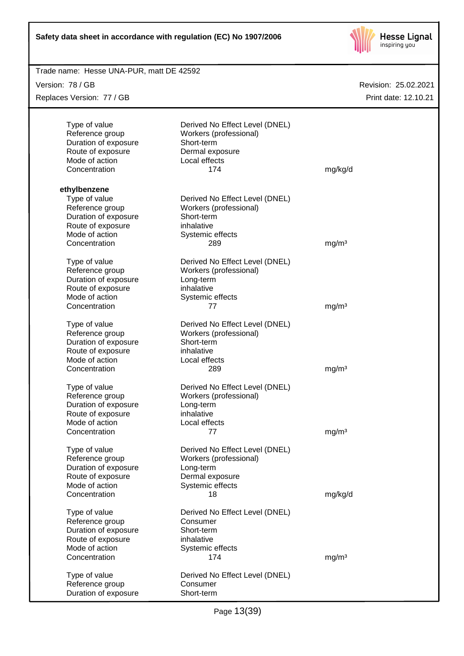

| Trade name: Hesse UNA-PUR, matt DE 42592 |                                |                      |
|------------------------------------------|--------------------------------|----------------------|
| Version: 78 / GB                         |                                | Revision: 25.02.2021 |
| Replaces Version: 77 / GB                |                                | Print date: 12.10.21 |
|                                          |                                |                      |
|                                          |                                |                      |
| Type of value                            | Derived No Effect Level (DNEL) |                      |
| Reference group                          | Workers (professional)         |                      |
| Duration of exposure                     | Short-term                     |                      |
| Route of exposure<br>Mode of action      | Dermal exposure                |                      |
|                                          | Local effects                  |                      |
| Concentration                            | 174                            | mg/kg/d              |
| ethylbenzene                             |                                |                      |
| Type of value                            | Derived No Effect Level (DNEL) |                      |
| Reference group                          | Workers (professional)         |                      |
| Duration of exposure                     | Short-term                     |                      |
| Route of exposure                        | inhalative                     |                      |
| Mode of action                           | Systemic effects               |                      |
| Concentration                            | 289                            | mg/m <sup>3</sup>    |
|                                          |                                |                      |
| Type of value                            | Derived No Effect Level (DNEL) |                      |
| Reference group                          | Workers (professional)         |                      |
| Duration of exposure                     | Long-term                      |                      |
| Route of exposure                        | inhalative                     |                      |
| Mode of action                           | Systemic effects               |                      |
| Concentration                            | 77                             | mg/m <sup>3</sup>    |
|                                          |                                |                      |
| Type of value                            | Derived No Effect Level (DNEL) |                      |
| Reference group                          | Workers (professional)         |                      |
| Duration of exposure                     | Short-term                     |                      |
| Route of exposure                        | inhalative                     |                      |
| Mode of action                           | Local effects                  |                      |
| Concentration                            | 289                            | mg/m <sup>3</sup>    |
| Type of value                            | Derived No Effect Level (DNEL) |                      |
| Reference group                          | Workers (professional)         |                      |
| Duration of exposure                     | Long-term                      |                      |
| Route of exposure                        | inhalative                     |                      |
| Mode of action                           | Local effects                  |                      |
| Concentration                            | 77                             | mg/m <sup>3</sup>    |
|                                          |                                |                      |
| Type of value                            | Derived No Effect Level (DNEL) |                      |
| Reference group                          | Workers (professional)         |                      |
| Duration of exposure                     | Long-term                      |                      |
| Route of exposure                        | Dermal exposure                |                      |
| Mode of action                           | Systemic effects               |                      |
| Concentration                            | 18                             | mg/kg/d              |
|                                          |                                |                      |
| Type of value                            | Derived No Effect Level (DNEL) |                      |
| Reference group                          | Consumer                       |                      |
| Duration of exposure                     | Short-term                     |                      |
| Route of exposure                        | inhalative                     |                      |
| Mode of action                           | Systemic effects               |                      |
| Concentration                            | 174                            | mg/m <sup>3</sup>    |
| Type of value                            | Derived No Effect Level (DNEL) |                      |
| Reference group                          | Consumer                       |                      |
| Duration of exposure                     | Short-term                     |                      |
|                                          |                                |                      |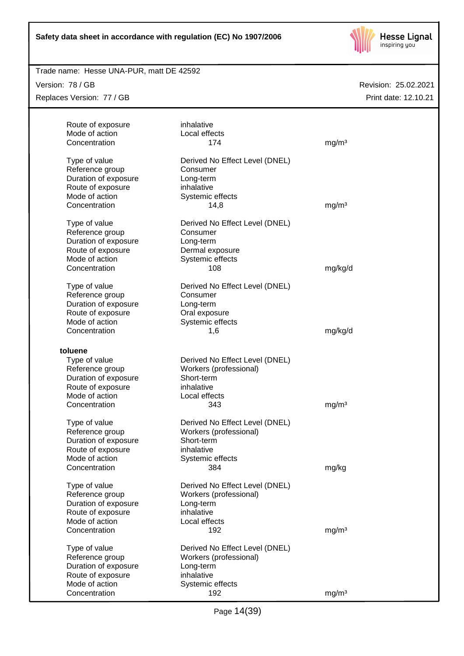

## Trade name: Hesse UNA-PUR, matt DE 42592

Version: 78 / GB Replaces Version: 77 / GB

| Route of exposure<br>Mode of action<br>Concentration                                                             | inhalative<br>Local effects<br>174                                                                       | mg/m <sup>3</sup> |
|------------------------------------------------------------------------------------------------------------------|----------------------------------------------------------------------------------------------------------|-------------------|
| Type of value<br>Reference group<br>Duration of exposure<br>Route of exposure<br>Mode of action                  | Derived No Effect Level (DNEL)<br>Consumer<br>Long-term<br>inhalative<br>Systemic effects                |                   |
| Concentration                                                                                                    | 14,8                                                                                                     | mg/m <sup>3</sup> |
| Type of value<br>Reference group<br>Duration of exposure<br>Route of exposure<br>Mode of action<br>Concentration | Derived No Effect Level (DNEL)<br>Consumer<br>Long-term<br>Dermal exposure<br>Systemic effects<br>108    | mg/kg/d           |
| Type of value<br>Reference group<br>Duration of exposure<br>Route of exposure                                    | Derived No Effect Level (DNEL)<br>Consumer<br>Long-term<br>Oral exposure                                 |                   |
| Mode of action<br>Concentration                                                                                  | Systemic effects<br>1,6                                                                                  | mg/kg/d           |
| toluene                                                                                                          |                                                                                                          |                   |
| Type of value<br>Reference group<br>Duration of exposure<br>Route of exposure                                    | Derived No Effect Level (DNEL)<br>Workers (professional)<br>Short-term<br>inhalative                     |                   |
| Mode of action<br>Concentration                                                                                  | Local effects<br>343                                                                                     | mg/m <sup>3</sup> |
| Type of value<br>Reference group<br>Duration of exposure<br>Route of exposure<br>Mode of action                  | Derived No Effect Level (DNEL)<br>Workers (professional)<br>Short-term<br>inhalative<br>Systemic effects |                   |
| Concentration                                                                                                    | 384                                                                                                      | mg/kg             |
| Type of value<br>Reference group<br>Duration of exposure<br>Route of exposure<br>Mode of action                  | Derived No Effect Level (DNEL)<br>Workers (professional)<br>Long-term<br>inhalative<br>Local effects     |                   |
| Concentration                                                                                                    | 192                                                                                                      | mg/m <sup>3</sup> |
| Type of value<br>Reference group<br>Duration of exposure<br>Route of exposure<br>Mode of action                  | Derived No Effect Level (DNEL)<br>Workers (professional)<br>Long-term<br>inhalative<br>Systemic effects  |                   |
| Concentration                                                                                                    | 192                                                                                                      | mg/m <sup>3</sup> |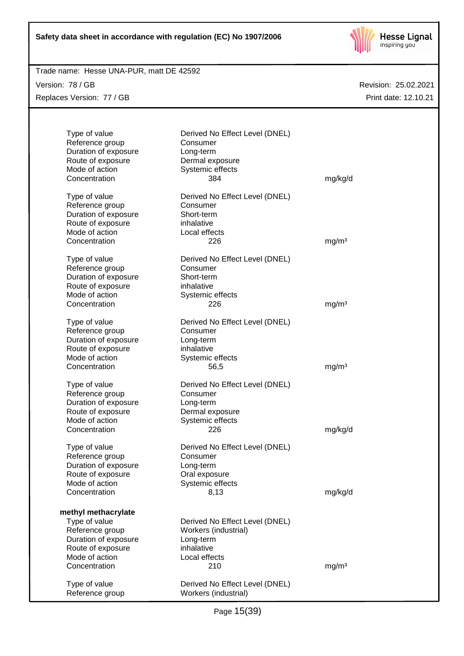

## Trade name: Hesse UNA-PUR, matt DE 42592

Version: 78 / GB Replaces Version: 77 / GB

| Type of value<br>Reference group<br>Duration of exposure<br>Route of exposure<br>Mode of action<br>Concentration                        | Derived No Effect Level (DNEL)<br>Consumer<br>Long-term<br>Dermal exposure<br>Systemic effects<br>384     | mg/kg/d           |
|-----------------------------------------------------------------------------------------------------------------------------------------|-----------------------------------------------------------------------------------------------------------|-------------------|
| Type of value<br>Reference group<br>Duration of exposure<br>Route of exposure<br>Mode of action<br>Concentration                        | Derived No Effect Level (DNEL)<br>Consumer<br>Short-term<br>inhalative<br>Local effects<br>226            | mg/m <sup>3</sup> |
| Type of value<br>Reference group<br>Duration of exposure<br>Route of exposure<br>Mode of action<br>Concentration                        | Derived No Effect Level (DNEL)<br>Consumer<br>Short-term<br>inhalative<br>Systemic effects<br>226         | mg/m <sup>3</sup> |
| Type of value<br>Reference group<br>Duration of exposure<br>Route of exposure<br>Mode of action<br>Concentration                        | Derived No Effect Level (DNEL)<br>Consumer<br>Long-term<br>inhalative<br>Systemic effects<br>56,5         | mg/m <sup>3</sup> |
| Type of value<br>Reference group<br>Duration of exposure<br>Route of exposure<br>Mode of action<br>Concentration                        | Derived No Effect Level (DNEL)<br>Consumer<br>Long-term<br>Dermal exposure<br>Systemic effects<br>226     | mg/kg/d           |
| Type of value<br>Reference group<br>Duration of exposure<br>Route of exposure<br>Mode of action<br>Concentration                        | Derived No Effect Level (DNEL)<br>Consumer<br>Long-term<br>Oral exposure<br>Systemic effects<br>8,13      | mg/kg/d           |
| methyl methacrylate<br>Type of value<br>Reference group<br>Duration of exposure<br>Route of exposure<br>Mode of action<br>Concentration | Derived No Effect Level (DNEL)<br>Workers (industrial)<br>Long-term<br>inhalative<br>Local effects<br>210 | mg/m <sup>3</sup> |
| Type of value<br>Reference group                                                                                                        | Derived No Effect Level (DNEL)<br>Workers (industrial)                                                    |                   |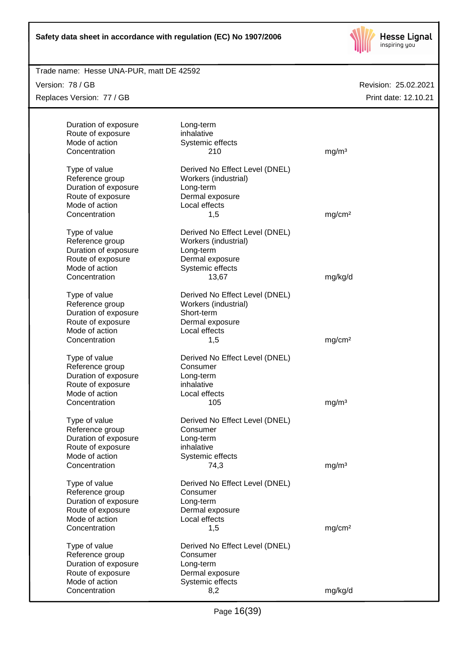

## Trade name: Hesse UNA-PUR, matt DE 42592

Version: 78 / GB Replaces Version: 77 / GB

| Duration of exposure | Long-term                      |                    |
|----------------------|--------------------------------|--------------------|
| Route of exposure    | inhalative                     |                    |
| Mode of action       | Systemic effects               |                    |
| Concentration        | 210                            | mg/m <sup>3</sup>  |
|                      |                                |                    |
| Type of value        | Derived No Effect Level (DNEL) |                    |
| Reference group      | Workers (industrial)           |                    |
| Duration of exposure | Long-term                      |                    |
| Route of exposure    | Dermal exposure                |                    |
| Mode of action       | Local effects                  |                    |
| Concentration        | 1,5                            | mg/cm <sup>2</sup> |
|                      |                                |                    |
| Type of value        | Derived No Effect Level (DNEL) |                    |
| Reference group      | Workers (industrial)           |                    |
| Duration of exposure | Long-term                      |                    |
| Route of exposure    | Dermal exposure                |                    |
| Mode of action       | Systemic effects               |                    |
| Concentration        | 13,67                          | mg/kg/d            |
|                      |                                |                    |
| Type of value        | Derived No Effect Level (DNEL) |                    |
| Reference group      | Workers (industrial)           |                    |
| Duration of exposure | Short-term                     |                    |
| Route of exposure    | Dermal exposure                |                    |
| Mode of action       | Local effects                  |                    |
| Concentration        | 1,5                            | mg/cm <sup>2</sup> |
| Type of value        | Derived No Effect Level (DNEL) |                    |
| Reference group      | Consumer                       |                    |
| Duration of exposure | Long-term                      |                    |
| Route of exposure    | inhalative                     |                    |
| Mode of action       | Local effects                  |                    |
| Concentration        | 105                            | mg/m <sup>3</sup>  |
|                      |                                |                    |
| Type of value        | Derived No Effect Level (DNEL) |                    |
| Reference group      | Consumer                       |                    |
| Duration of exposure | Long-term                      |                    |
| Route of exposure    | inhalative                     |                    |
| Mode of action       | Systemic effects               |                    |
| Concentration        | 74,3                           | mg/m <sup>3</sup>  |
|                      |                                |                    |
| Type of value        | Derived No Effect Level (DNEL) |                    |
| Reference group      | Consumer                       |                    |
| Duration of exposure | Long-term                      |                    |
| Route of exposure    | Dermal exposure                |                    |
| Mode of action       | Local effects                  |                    |
| Concentration        | 1,5                            | mg/cm <sup>2</sup> |
| Type of value        | Derived No Effect Level (DNEL) |                    |
| Reference group      | Consumer                       |                    |
| Duration of exposure | Long-term                      |                    |
| Route of exposure    | Dermal exposure                |                    |
| Mode of action       | Systemic effects               |                    |
| Concentration        | 8,2                            | mg/kg/d            |
|                      |                                |                    |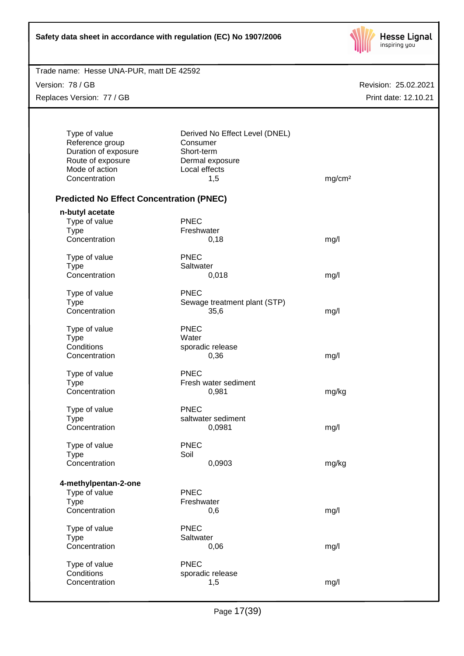

| Trade name: Hesse UNA-PUR, matt DE 42592 |  |  |
|------------------------------------------|--|--|
|                                          |  |  |

Version: 78 / GB Replaces Version: 77 / GB

| Type of value                                   | Derived No Effect Level (DNEL) |                    |
|-------------------------------------------------|--------------------------------|--------------------|
| Reference group                                 | Consumer                       |                    |
| Duration of exposure                            | Short-term                     |                    |
| Route of exposure                               | Dermal exposure                |                    |
| Mode of action                                  | Local effects                  |                    |
| Concentration                                   | 1,5                            | mg/cm <sup>2</sup> |
| <b>Predicted No Effect Concentration (PNEC)</b> |                                |                    |
| n-butyl acetate                                 |                                |                    |
| Type of value                                   | <b>PNEC</b>                    |                    |
| <b>Type</b>                                     | Freshwater                     |                    |
| Concentration                                   | 0,18                           | mg/l               |
| Type of value                                   | <b>PNEC</b>                    |                    |
| <b>Type</b>                                     | Saltwater                      |                    |
| Concentration                                   | 0,018                          | mg/l               |
|                                                 |                                |                    |
| Type of value                                   | <b>PNEC</b>                    |                    |
| <b>Type</b>                                     | Sewage treatment plant (STP)   |                    |
| Concentration                                   | 35,6                           | mg/l               |
| Type of value                                   | <b>PNEC</b>                    |                    |
| <b>Type</b>                                     | Water                          |                    |
| Conditions                                      | sporadic release               |                    |
| Concentration                                   | 0,36                           | mg/l               |
| Type of value                                   | <b>PNEC</b>                    |                    |
| <b>Type</b>                                     | Fresh water sediment           |                    |
| Concentration                                   | 0,981                          | mg/kg              |
| Type of value                                   | <b>PNEC</b>                    |                    |
| <b>Type</b>                                     | saltwater sediment             |                    |
| Concentration                                   | 0,0981                         | mg/l               |
| Type of value                                   | <b>PNEC</b>                    |                    |
| <b>Type</b>                                     | Soil                           |                    |
| Concentration                                   | 0,0903                         | mg/kg              |
| 4-methylpentan-2-one                            |                                |                    |
| Type of value                                   | <b>PNEC</b>                    |                    |
| <b>Type</b>                                     | Freshwater                     |                    |
| Concentration                                   | 0,6                            |                    |
|                                                 |                                | mg/l               |
| Type of value                                   | <b>PNEC</b>                    |                    |
| <b>Type</b>                                     | Saltwater                      |                    |
| Concentration                                   | 0,06                           | mg/l               |
| Type of value                                   | <b>PNEC</b>                    |                    |
| Conditions                                      | sporadic release               |                    |
| Concentration                                   | 1,5                            | mg/l               |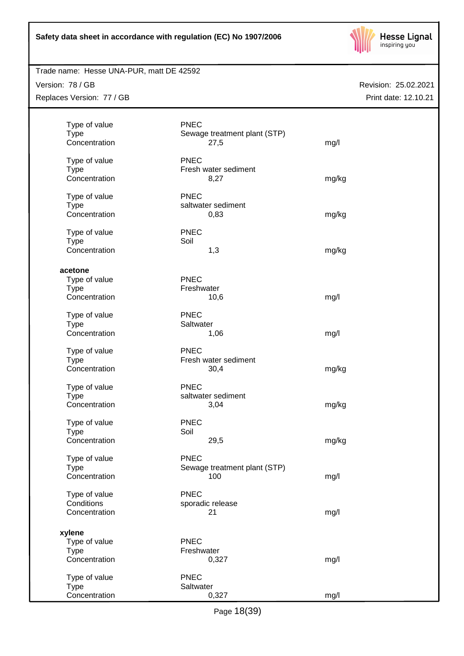

## Trade name: Hesse UNA-PUR, matt DE 42592

Version: 78 / GB Replaces Version: 77 / GB

| Type of value<br><b>Type</b> | <b>PNEC</b><br>Sewage treatment plant (STP) |       |
|------------------------------|---------------------------------------------|-------|
| Concentration                | 27,5                                        | mg/l  |
| Type of value                | <b>PNEC</b>                                 |       |
| <b>Type</b>                  | Fresh water sediment                        |       |
| Concentration                | 8,27                                        | mg/kg |
|                              |                                             |       |
| Type of value<br><b>Type</b> | <b>PNEC</b><br>saltwater sediment           |       |
| Concentration                | 0,83                                        | mg/kg |
|                              |                                             |       |
| Type of value                | <b>PNEC</b>                                 |       |
| <b>Type</b>                  | Soil                                        |       |
| Concentration                | 1,3                                         | mg/kg |
| acetone                      |                                             |       |
| Type of value                | <b>PNEC</b>                                 |       |
| <b>Type</b>                  | Freshwater                                  |       |
| Concentration                | 10,6                                        | mg/l  |
|                              | <b>PNEC</b>                                 |       |
| Type of value<br><b>Type</b> | Saltwater                                   |       |
| Concentration                | 1,06                                        | mg/l  |
|                              |                                             |       |
| Type of value                | <b>PNEC</b>                                 |       |
| <b>Type</b><br>Concentration | Fresh water sediment                        |       |
|                              | 30,4                                        | mg/kg |
| Type of value                | <b>PNEC</b>                                 |       |
| <b>Type</b>                  | saltwater sediment                          |       |
| Concentration                | 3,04                                        | mg/kg |
| Type of value                | <b>PNEC</b>                                 |       |
| <b>Type</b>                  | Soil                                        |       |
| Concentration                | 29,5                                        | mg/kg |
|                              |                                             |       |
| Type of value<br><b>Type</b> | <b>PNEC</b><br>Sewage treatment plant (STP) |       |
| Concentration                | 100                                         | mg/l  |
|                              |                                             |       |
| Type of value                | <b>PNEC</b>                                 |       |
| Conditions                   | sporadic release                            |       |
| Concentration                | 21                                          | mg/l  |
| xylene                       |                                             |       |
| Type of value                | <b>PNEC</b>                                 |       |
| <b>Type</b>                  | Freshwater                                  |       |
| Concentration                | 0,327                                       | mg/l  |
|                              | <b>PNEC</b>                                 |       |
| Type of value<br><b>Type</b> | Saltwater                                   |       |
| Concentration                | 0,327                                       | mg/l  |
|                              |                                             |       |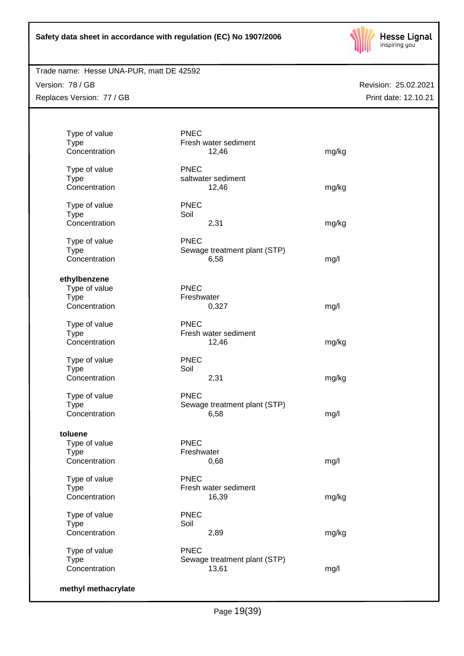

## Trade name: Hesse UNA-PUR, matt DE 42592

Version: 78 / GB Replaces Version: 77 / GB

| Type of value<br><b>Type</b> | <b>PNEC</b><br>Fresh water sediment |       |
|------------------------------|-------------------------------------|-------|
| Concentration                | 12,46                               | mg/kg |
| Type of value                | <b>PNEC</b>                         |       |
| <b>Type</b>                  | saltwater sediment                  |       |
| Concentration                | 12,46                               | mg/kg |
| Type of value                | <b>PNEC</b>                         |       |
| <b>Type</b>                  | Soil                                |       |
| Concentration                | 2,31                                | mg/kg |
| Type of value                | <b>PNEC</b>                         |       |
| <b>Type</b>                  | Sewage treatment plant (STP)        |       |
| Concentration                | 6,58                                | mg/l  |
| ethylbenzene                 |                                     |       |
| Type of value                | <b>PNEC</b>                         |       |
| <b>Type</b>                  | Freshwater                          |       |
| Concentration                | 0,327                               | mg/l  |
| Type of value                | <b>PNEC</b>                         |       |
| <b>Type</b>                  | Fresh water sediment                |       |
| Concentration                | 12,46                               | mg/kg |
| Type of value                | <b>PNEC</b>                         |       |
| <b>Type</b>                  | Soil                                |       |
| Concentration                | 2,31                                | mg/kg |
| Type of value                | <b>PNEC</b>                         |       |
| <b>Type</b>                  | Sewage treatment plant (STP)        |       |
| Concentration                | 6,58                                | mg/l  |
| toluene                      |                                     |       |
| Type of value                | <b>PNEC</b>                         |       |
| <b>Type</b>                  | Freshwater                          |       |
| Concentration                | 0,68                                | mg/l  |
| Type of value                | <b>PNEC</b>                         |       |
| <b>Type</b>                  | Fresh water sediment                |       |
| Concentration                | 16,39                               | mg/kg |
| Type of value                | <b>PNEC</b>                         |       |
| <b>Type</b>                  | Soil                                |       |
| Concentration                | 2,89                                | mg/kg |
| Type of value                | <b>PNEC</b>                         |       |
| <b>Type</b>                  | Sewage treatment plant (STP)        |       |
| Concentration                | 13,61                               | mg/l  |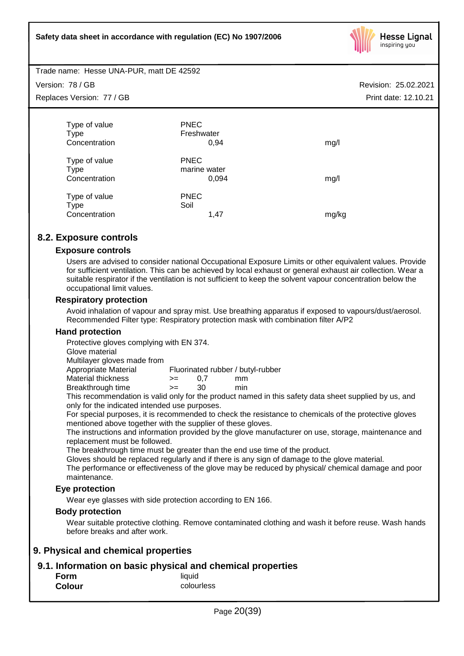

Trade name: Hesse UNA-PUR, matt DE 42592

Version: 78 / GB Replaces Version: 77 / GB

| Type of value | <b>PNEC</b>  |       |
|---------------|--------------|-------|
| <b>Type</b>   | Freshwater   |       |
| Concentration | 0,94         | mg/l  |
|               |              |       |
| Type of value | <b>PNEC</b>  |       |
| Type          | marine water |       |
| Concentration | 0,094        | mg/l  |
|               |              |       |
| Type of value | <b>PNEC</b>  |       |
| <b>Type</b>   | Soil         |       |
| Concentration | 1,47         | mg/kg |
|               |              |       |

## **8.2. Exposure controls**

## **Exposure controls**

Users are advised to consider national Occupational Exposure Limits or other equivalent values. Provide for sufficient ventilation. This can be achieved by local exhaust or general exhaust air collection. Wear a suitable respirator if the ventilation is not sufficient to keep the solvent vapour concentration below the occupational limit values.

## **Respiratory protection**

Avoid inhalation of vapour and spray mist. Use breathing apparatus if exposed to vapours/dust/aerosol. Recommended Filter type: Respiratory protection mask with combination filter A/P2

## **Hand protection**

Protective gloves complying with EN 374.

Glove material

Multilayer gloves made from

Appropriate Material Fluorinated rubber / butyl-rubber

Material thickness  $\rightarrow$  = 0.7 mm Breakthrough time >= 30 min

This recommendation is valid only for the product named in this safety data sheet supplied by us, and only for the indicated intended use purposes.

For special purposes, it is recommended to check the resistance to chemicals of the protective gloves mentioned above together with the supplier of these gloves.

The instructions and information provided by the glove manufacturer on use, storage, maintenance and replacement must be followed.

The breakthrough time must be greater than the end use time of the product.

Gloves should be replaced regularly and if there is any sign of damage to the glove material.

The performance or effectiveness of the glove may be reduced by physical/ chemical damage and poor maintenance.

## **Eye protection**

Wear eye glasses with side protection according to EN 166.

## **Body protection**

Wear suitable protective clothing. Remove contaminated clothing and wash it before reuse. Wash hands before breaks and after work.

## **9. Physical and chemical properties**

## **9.1. Information on basic physical and chemical properties**

| Form          | liquid     |
|---------------|------------|
| <b>Colour</b> | colourless |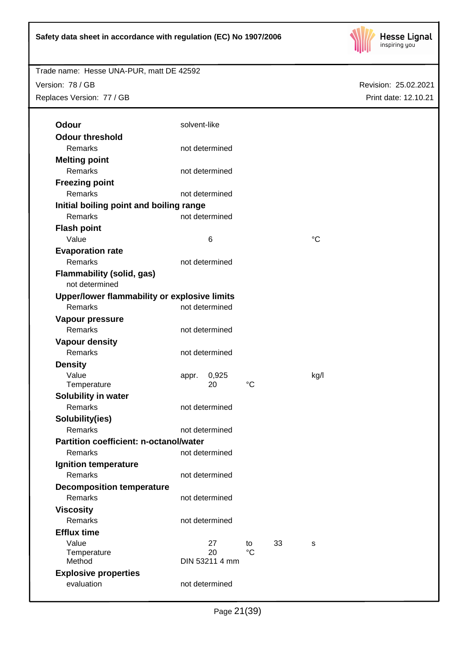

# Trade name: Hesse UNA-PUR, matt DE 42592 Version: 78 / GB Replaces Version: 77 / GB

| <b>Odour</b>                                       | solvent-like |                |                       |    |             |
|----------------------------------------------------|--------------|----------------|-----------------------|----|-------------|
| <b>Odour threshold</b>                             |              |                |                       |    |             |
| Remarks                                            |              | not determined |                       |    |             |
| <b>Melting point</b>                               |              |                |                       |    |             |
| Remarks                                            |              | not determined |                       |    |             |
| <b>Freezing point</b>                              |              |                |                       |    |             |
| Remarks                                            |              | not determined |                       |    |             |
| Initial boiling point and boiling range            |              |                |                       |    |             |
| Remarks                                            |              | not determined |                       |    |             |
| <b>Flash point</b>                                 |              |                |                       |    |             |
| Value                                              |              | 6              |                       |    | $^{\circ}C$ |
| <b>Evaporation rate</b>                            |              |                |                       |    |             |
| Remarks                                            |              | not determined |                       |    |             |
| <b>Flammability (solid, gas)</b>                   |              |                |                       |    |             |
| not determined                                     |              |                |                       |    |             |
| Upper/lower flammability or explosive limits       |              |                |                       |    |             |
| Remarks                                            |              | not determined |                       |    |             |
| Vapour pressure                                    |              |                |                       |    |             |
| Remarks                                            |              | not determined |                       |    |             |
| <b>Vapour density</b>                              |              |                |                       |    |             |
| Remarks                                            |              | not determined |                       |    |             |
| <b>Density</b>                                     |              |                |                       |    |             |
| Value                                              | appr.        | 0,925          |                       |    | kg/l        |
| Temperature                                        |              | 20             | $^{\circ}C$           |    |             |
| Solubility in water                                |              |                |                       |    |             |
| Remarks                                            |              | not determined |                       |    |             |
| Solubility(ies)                                    |              |                |                       |    |             |
| Remarks                                            |              | not determined |                       |    |             |
| <b>Partition coefficient: n-octanol/water</b>      |              |                |                       |    |             |
| Remarks                                            |              | not determined |                       |    |             |
| Ignition temperature                               |              |                |                       |    |             |
| <b>Remarks</b>                                     |              | not determined |                       |    |             |
|                                                    |              |                |                       |    |             |
| <b>Decomposition temperature</b><br><b>Remarks</b> |              | not determined |                       |    |             |
|                                                    |              |                |                       |    |             |
| <b>Viscosity</b>                                   |              |                |                       |    |             |
| <b>Remarks</b>                                     |              | not determined |                       |    |             |
| <b>Efflux time</b>                                 |              |                |                       |    |             |
| Value                                              |              | 27<br>20       | to<br>$\rm ^{\circ}C$ | 33 | s           |
| Temperature<br>Method                              |              | DIN 53211 4 mm |                       |    |             |
| <b>Explosive properties</b>                        |              |                |                       |    |             |
| evaluation                                         |              | not determined |                       |    |             |
|                                                    |              |                |                       |    |             |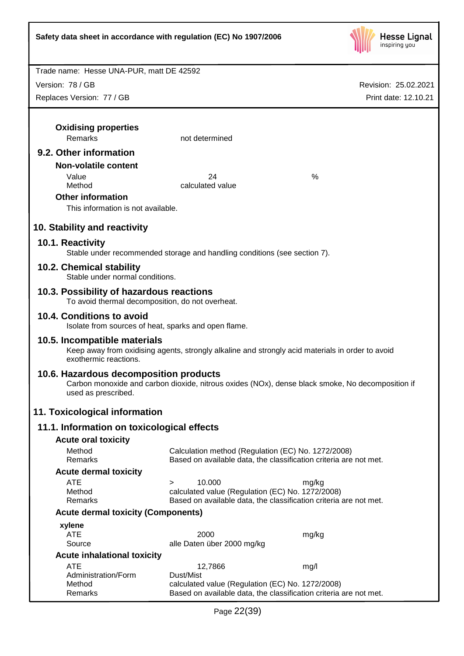

| Trade name: Hesse UNA-PUR, matt DE 42592                                                                                  |                                                                           |                                                                                                  |  |  |  |  |
|---------------------------------------------------------------------------------------------------------------------------|---------------------------------------------------------------------------|--------------------------------------------------------------------------------------------------|--|--|--|--|
| Version: 78 / GB                                                                                                          |                                                                           | Revision: 25.02.2021                                                                             |  |  |  |  |
| Replaces Version: 77 / GB                                                                                                 |                                                                           | Print date: 12.10.21                                                                             |  |  |  |  |
|                                                                                                                           |                                                                           |                                                                                                  |  |  |  |  |
| <b>Oxidising properties</b>                                                                                               |                                                                           |                                                                                                  |  |  |  |  |
| Remarks                                                                                                                   | not determined                                                            |                                                                                                  |  |  |  |  |
| 9.2. Other information                                                                                                    |                                                                           |                                                                                                  |  |  |  |  |
| <b>Non-volatile content</b>                                                                                               |                                                                           |                                                                                                  |  |  |  |  |
| Value                                                                                                                     | 24                                                                        | %                                                                                                |  |  |  |  |
| Method                                                                                                                    | calculated value                                                          |                                                                                                  |  |  |  |  |
| <b>Other information</b>                                                                                                  |                                                                           |                                                                                                  |  |  |  |  |
| This information is not available.                                                                                        |                                                                           |                                                                                                  |  |  |  |  |
| 10. Stability and reactivity                                                                                              |                                                                           |                                                                                                  |  |  |  |  |
| 10.1. Reactivity                                                                                                          | Stable under recommended storage and handling conditions (see section 7). |                                                                                                  |  |  |  |  |
| 10.2. Chemical stability<br>Stable under normal conditions.                                                               |                                                                           |                                                                                                  |  |  |  |  |
| 10.3. Possibility of hazardous reactions<br>To avoid thermal decomposition, do not overheat.                              |                                                                           |                                                                                                  |  |  |  |  |
| 10.4. Conditions to avoid<br>Isolate from sources of heat, sparks and open flame.                                         |                                                                           |                                                                                                  |  |  |  |  |
| 10.5. Incompatible materials<br>exothermic reactions.                                                                     |                                                                           | Keep away from oxidising agents, strongly alkaline and strongly acid materials in order to avoid |  |  |  |  |
| 10.6. Hazardous decomposition products<br>used as prescribed.                                                             |                                                                           | Carbon monoxide and carbon dioxide, nitrous oxides (NOx), dense black smoke, No decomposition if |  |  |  |  |
| 11. Toxicological information                                                                                             |                                                                           |                                                                                                  |  |  |  |  |
| 11.1. Information on toxicological effects                                                                                |                                                                           |                                                                                                  |  |  |  |  |
| <b>Acute oral toxicity</b>                                                                                                |                                                                           |                                                                                                  |  |  |  |  |
| Method<br>Remarks                                                                                                         | Calculation method (Regulation (EC) No. 1272/2008)                        | Based on available data, the classification criteria are not met.                                |  |  |  |  |
| <b>Acute dermal toxicity</b>                                                                                              |                                                                           |                                                                                                  |  |  |  |  |
| <b>ATE</b>                                                                                                                | 10.000<br>$\geq$                                                          | mg/kg                                                                                            |  |  |  |  |
| Method                                                                                                                    | calculated value (Regulation (EC) No. 1272/2008)                          |                                                                                                  |  |  |  |  |
| Based on available data, the classification criteria are not met.<br>Remarks<br><b>Acute dermal toxicity (Components)</b> |                                                                           |                                                                                                  |  |  |  |  |
|                                                                                                                           |                                                                           |                                                                                                  |  |  |  |  |
| xylene<br><b>ATE</b>                                                                                                      | 2000                                                                      | mg/kg                                                                                            |  |  |  |  |
| Source                                                                                                                    | alle Daten über 2000 mg/kg                                                |                                                                                                  |  |  |  |  |
| <b>Acute inhalational toxicity</b>                                                                                        |                                                                           |                                                                                                  |  |  |  |  |
| ATE<br>Administration/Form                                                                                                | 12,7866<br>Dust/Mist                                                      | mg/l                                                                                             |  |  |  |  |
| Method<br>Remarks                                                                                                         | calculated value (Regulation (EC) No. 1272/2008)                          | Based on available data, the classification criteria are not met.                                |  |  |  |  |
|                                                                                                                           |                                                                           |                                                                                                  |  |  |  |  |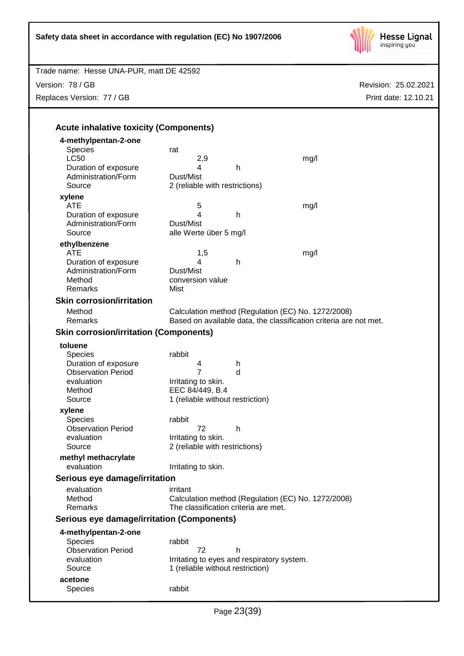

| Trade name: Hesse UNA-PUR, matt DE 42592      |                                      |                                                                   |      |                      |
|-----------------------------------------------|--------------------------------------|-------------------------------------------------------------------|------|----------------------|
| Version: 78 / GB                              |                                      |                                                                   |      | Revision: 25.02.2021 |
| Replaces Version: 77 / GB                     |                                      |                                                                   |      | Print date: 12.10.21 |
|                                               |                                      |                                                                   |      |                      |
|                                               |                                      |                                                                   |      |                      |
| <b>Acute inhalative toxicity (Components)</b> |                                      |                                                                   |      |                      |
| 4-methylpentan-2-one                          |                                      |                                                                   |      |                      |
| <b>Species</b>                                | rat                                  |                                                                   |      |                      |
| <b>LC50</b>                                   | 2,9                                  |                                                                   | mg/l |                      |
| Duration of exposure                          | 4                                    | $\mathsf{h}$                                                      |      |                      |
| Administration/Form                           | Dust/Mist                            |                                                                   |      |                      |
| Source                                        | 2 (reliable with restrictions)       |                                                                   |      |                      |
| xylene                                        |                                      |                                                                   |      |                      |
| <b>ATE</b>                                    | 5                                    |                                                                   | mg/l |                      |
| Duration of exposure                          | 4                                    | $\mathsf{h}$                                                      |      |                      |
| Administration/Form                           | Dust/Mist                            |                                                                   |      |                      |
| Source                                        | alle Werte über 5 mg/l               |                                                                   |      |                      |
| ethylbenzene                                  |                                      |                                                                   |      |                      |
| <b>ATE</b>                                    | 1,5                                  |                                                                   | mg/l |                      |
| Duration of exposure                          | 4                                    | h                                                                 |      |                      |
| Administration/Form                           | Dust/Mist                            |                                                                   |      |                      |
| Method                                        | conversion value                     |                                                                   |      |                      |
| Remarks                                       | Mist                                 |                                                                   |      |                      |
| <b>Skin corrosion/irritation</b>              |                                      |                                                                   |      |                      |
| Method                                        |                                      | Calculation method (Regulation (EC) No. 1272/2008)                |      |                      |
| Remarks                                       |                                      | Based on available data, the classification criteria are not met. |      |                      |
|                                               |                                      |                                                                   |      |                      |
| <b>Skin corrosion/irritation (Components)</b> |                                      |                                                                   |      |                      |
| toluene                                       |                                      |                                                                   |      |                      |
| <b>Species</b>                                | rabbit                               |                                                                   |      |                      |
| Duration of exposure                          | 4                                    | h                                                                 |      |                      |
| <b>Observation Period</b>                     | $\overline{7}$                       | d                                                                 |      |                      |
| evaluation                                    | Irritating to skin.                  |                                                                   |      |                      |
| Method                                        | EEC 84/449, B.4                      |                                                                   |      |                      |
| Source                                        | 1 (reliable without restriction)     |                                                                   |      |                      |
| xylene                                        |                                      |                                                                   |      |                      |
| <b>Species</b>                                | rabbit                               |                                                                   |      |                      |
| <b>Observation Period</b>                     | 72                                   | h                                                                 |      |                      |
| evaluation                                    | Irritating to skin.                  |                                                                   |      |                      |
| Source                                        | 2 (reliable with restrictions)       |                                                                   |      |                      |
| methyl methacrylate                           |                                      |                                                                   |      |                      |
| evaluation                                    | Irritating to skin.                  |                                                                   |      |                      |
| Serious eye damage/irritation                 |                                      |                                                                   |      |                      |
|                                               |                                      |                                                                   |      |                      |
| evaluation<br>Method                          | irritant                             | Calculation method (Regulation (EC) No. 1272/2008)                |      |                      |
| Remarks                                       | The classification criteria are met. |                                                                   |      |                      |
|                                               |                                      |                                                                   |      |                      |
| Serious eye damage/irritation (Components)    |                                      |                                                                   |      |                      |
| 4-methylpentan-2-one                          |                                      |                                                                   |      |                      |
| <b>Species</b>                                | rabbit                               |                                                                   |      |                      |
| <b>Observation Period</b>                     | 72                                   | h                                                                 |      |                      |
| evaluation                                    |                                      | Irritating to eyes and respiratory system.                        |      |                      |
| Source                                        | 1 (reliable without restriction)     |                                                                   |      |                      |
| acetone                                       |                                      |                                                                   |      |                      |
| <b>Species</b>                                | rabbit                               |                                                                   |      |                      |
|                                               |                                      |                                                                   |      |                      |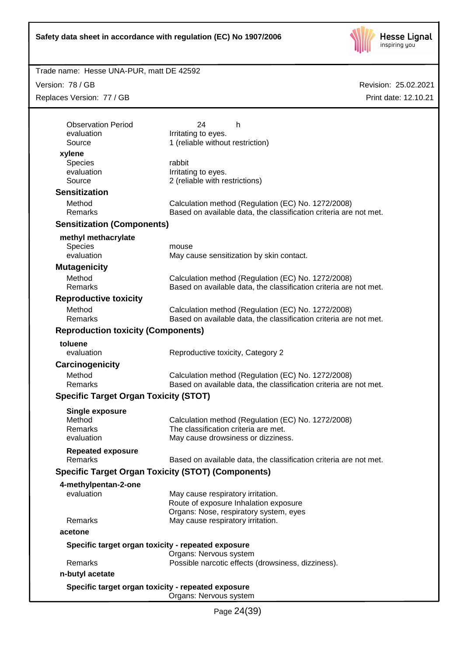

## Trade name: Hesse UNA-PUR, matt DE 42592

Version: 78 / GB Replaces Version: 77 / GB

| <b>Observation Period</b>                    | 24<br>h                                                                                                                 |
|----------------------------------------------|-------------------------------------------------------------------------------------------------------------------------|
| evaluation<br>Source                         | Irritating to eyes.<br>1 (reliable without restriction)                                                                 |
| xylene                                       |                                                                                                                         |
| <b>Species</b>                               | rabbit                                                                                                                  |
| evaluation                                   | Irritating to eyes.                                                                                                     |
| Source                                       | 2 (reliable with restrictions)                                                                                          |
| <b>Sensitization</b>                         |                                                                                                                         |
| Method<br>Remarks                            | Calculation method (Regulation (EC) No. 1272/2008)<br>Based on available data, the classification criteria are not met. |
| <b>Sensitization (Components)</b>            |                                                                                                                         |
| methyl methacrylate                          |                                                                                                                         |
| <b>Species</b>                               | mouse                                                                                                                   |
| evaluation                                   | May cause sensitization by skin contact.                                                                                |
| <b>Mutagenicity</b>                          |                                                                                                                         |
| Method                                       | Calculation method (Regulation (EC) No. 1272/2008)                                                                      |
| Remarks                                      | Based on available data, the classification criteria are not met.                                                       |
| <b>Reproductive toxicity</b>                 |                                                                                                                         |
| Method                                       | Calculation method (Regulation (EC) No. 1272/2008)                                                                      |
| Remarks                                      | Based on available data, the classification criteria are not met.                                                       |
| <b>Reproduction toxicity (Components)</b>    |                                                                                                                         |
| toluene                                      |                                                                                                                         |
| evaluation                                   | Reproductive toxicity, Category 2                                                                                       |
| Carcinogenicity                              |                                                                                                                         |
| Method                                       | Calculation method (Regulation (EC) No. 1272/2008)                                                                      |
| Remarks                                      | Based on available data, the classification criteria are not met.                                                       |
| <b>Specific Target Organ Toxicity (STOT)</b> |                                                                                                                         |
| <b>Single exposure</b>                       |                                                                                                                         |
| Method                                       | Calculation method (Regulation (EC) No. 1272/2008)                                                                      |
| Remarks                                      | The classification criteria are met.                                                                                    |
| evaluation                                   | May cause drowsiness or dizziness.                                                                                      |
| <b>Repeated exposure</b>                     |                                                                                                                         |
| Remarks                                      | Based on available data, the classification criteria are not met.                                                       |
|                                              | <b>Specific Target Organ Toxicity (STOT) (Components)</b>                                                               |
| 4-methylpentan-2-one                         |                                                                                                                         |
| evaluation                                   | May cause respiratory irritation.                                                                                       |
|                                              | Route of exposure Inhalation exposure                                                                                   |
| Remarks                                      | Organs: Nose, respiratory system, eyes<br>May cause respiratory irritation.                                             |
| acetone                                      |                                                                                                                         |
|                                              |                                                                                                                         |
|                                              | Specific target organ toxicity - repeated exposure<br>Organs: Nervous system                                            |
| Remarks                                      | Possible narcotic effects (drowsiness, dizziness).                                                                      |
| n-butyl acetate                              |                                                                                                                         |
|                                              |                                                                                                                         |
|                                              | Specific target organ toxicity - repeated exposure<br>Organs: Nervous system                                            |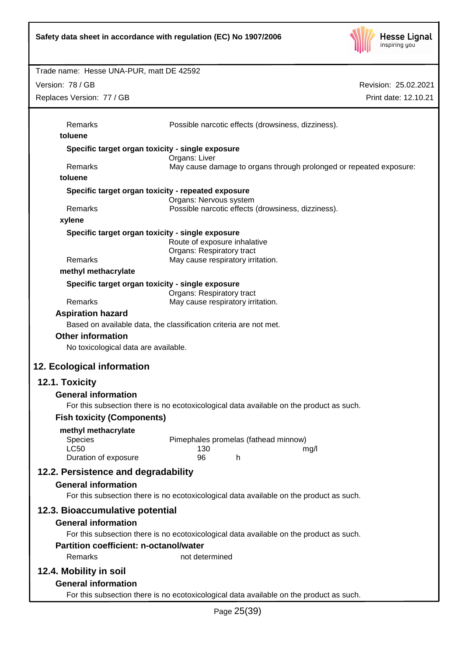

Revision: 25.02.2021 Trade name: Hesse UNA-PUR, matt DE 42592 Print date: 12.10.21 Version: 78 / GB Replaces Version: 77 / GB Page 25(39) Remarks Possible narcotic effects (drowsiness, dizziness). **toluene Specific target organ toxicity - single exposure** Organs: Liver Remarks May cause damage to organs through prolonged or repeated exposure: **toluene Specific target organ toxicity - repeated exposure** Organs: Nervous system Remarks Possible narcotic effects (drowsiness, dizziness). **xylene Specific target organ toxicity - single exposure** Route of exposure inhalative Organs: Respiratory tract Remarks May cause respiratory irritation. **methyl methacrylate Specific target organ toxicity - single exposure** Organs: Respiratory tract Remarks May cause respiratory irritation. **Aspiration hazard** Based on available data, the classification criteria are not met. **Other information** No toxicological data are available. **12. Ecological information 12.1. Toxicity General information** For this subsection there is no ecotoxicological data available on the product as such. **Fish toxicity (Components) methyl methacrylate** Species Pimephales promelas (fathead minnow) LC50 130 mg/l Duration of exposure 96 h **12.2. Persistence and degradability General information** For this subsection there is no ecotoxicological data available on the product as such. **12.3. Bioaccumulative potential General information** For this subsection there is no ecotoxicological data available on the product as such. **Partition coefficient: n-octanol/water** Remarks not determined **12.4. Mobility in soil General information** For this subsection there is no ecotoxicological data available on the product as such.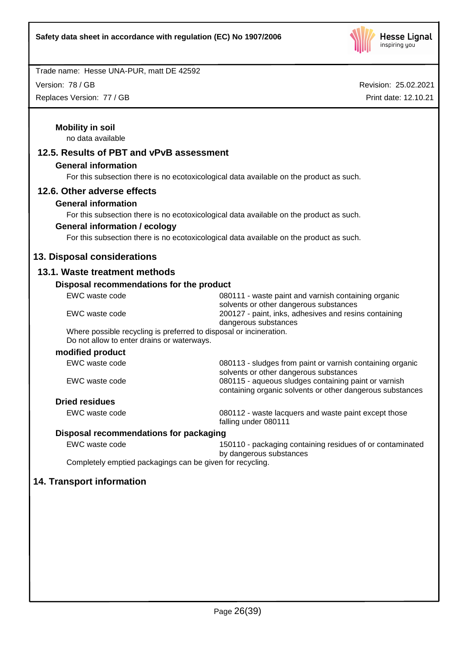

Version: 78 / GB

Replaces Version: 77 / GB

| <b>Mobility in soil</b><br>no data available                                                                     |                                                                                                                   |
|------------------------------------------------------------------------------------------------------------------|-------------------------------------------------------------------------------------------------------------------|
| 12.5. Results of PBT and vPvB assessment                                                                         |                                                                                                                   |
| <b>General information</b>                                                                                       |                                                                                                                   |
|                                                                                                                  | For this subsection there is no ecotoxicological data available on the product as such.                           |
| 12.6. Other adverse effects                                                                                      |                                                                                                                   |
| <b>General information</b>                                                                                       |                                                                                                                   |
| For this subsection there is no ecotoxicological data available on the product as such.                          |                                                                                                                   |
| <b>General information / ecology</b>                                                                             |                                                                                                                   |
|                                                                                                                  | For this subsection there is no ecotoxicological data available on the product as such.                           |
| 13. Disposal considerations                                                                                      |                                                                                                                   |
| 13.1. Waste treatment methods                                                                                    |                                                                                                                   |
| Disposal recommendations for the product                                                                         |                                                                                                                   |
| EWC waste code                                                                                                   | 080111 - waste paint and varnish containing organic                                                               |
| EWC waste code                                                                                                   | solvents or other dangerous substances<br>200127 - paint, inks, adhesives and resins containing                   |
|                                                                                                                  | dangerous substances                                                                                              |
| Where possible recycling is preferred to disposal or incineration.<br>Do not allow to enter drains or waterways. |                                                                                                                   |
| modified product                                                                                                 |                                                                                                                   |
| EWC waste code                                                                                                   | 080113 - sludges from paint or varnish containing organic<br>solvents or other dangerous substances               |
| EWC waste code                                                                                                   | 080115 - aqueous sludges containing paint or varnish<br>containing organic solvents or other dangerous substances |
| <b>Dried residues</b>                                                                                            |                                                                                                                   |
| EWC waste code                                                                                                   | 080112 - waste lacquers and waste paint except those<br>falling under 080111                                      |
| Disposal recommendations for packaging                                                                           |                                                                                                                   |
| EWC waste code                                                                                                   | 150110 - packaging containing residues of or contaminated                                                         |
| Completely emptied packagings can be given for recycling.                                                        | by dangerous substances                                                                                           |
|                                                                                                                  |                                                                                                                   |
| 14. Transport information                                                                                        |                                                                                                                   |
|                                                                                                                  |                                                                                                                   |
|                                                                                                                  |                                                                                                                   |
|                                                                                                                  |                                                                                                                   |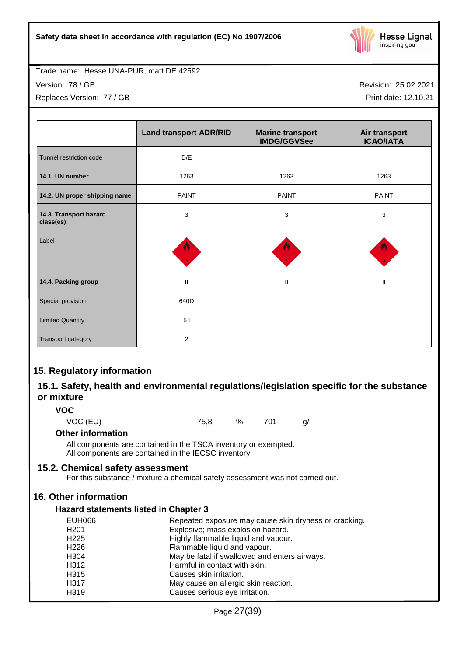

Version: 78 / GB

Replaces Version: 77 / GB

Revision: 25.02.2021

Print date: 12.10.21

|                                     | <b>Land transport ADR/RID</b> | <b>Marine transport</b><br><b>IMDG/GGVSee</b> | Air transport<br><b>ICAO/IATA</b> |
|-------------------------------------|-------------------------------|-----------------------------------------------|-----------------------------------|
| Tunnel restriction code             | D/E                           |                                               |                                   |
| 14.1. UN number                     | 1263                          | 1263                                          | 1263                              |
| 14.2. UN proper shipping name       | <b>PAINT</b>                  | <b>PAINT</b>                                  | <b>PAINT</b>                      |
| 14.3. Transport hazard<br>class(es) | 3                             | 3                                             | 3                                 |
| Label                               | ≝                             |                                               |                                   |
| 14.4. Packing group                 | $\mathbf{I}$                  | $\mathbf{II}$                                 | Ш                                 |
| Special provision                   | 640D                          |                                               |                                   |
| <b>Limited Quantity</b>             | 51                            |                                               |                                   |
| Transport category                  | $\overline{2}$                |                                               |                                   |

## **15. Regulatory information**

## **15.1. Safety, health and environmental regulations/legislation specific for the substance or mixture**

## **VOC**

VOC (EU) 75,8 % 701 g/l

## **Other information**

All components are contained in the TSCA inventory or exempted. All components are contained in the IECSC inventory.

## **15.2. Chemical safety assessment**

For this substance / mixture a chemical safety assessment was not carried out.

## **16. Other information**

## **Hazard statements listed in Chapter 3**

| <b>EUH066</b>    | Repeated exposure may cause skin dryness or cracking. |
|------------------|-------------------------------------------------------|
| H <sub>201</sub> | Explosive; mass explosion hazard.                     |
| H <sub>225</sub> | Highly flammable liquid and vapour.                   |
| H <sub>226</sub> | Flammable liquid and vapour.                          |
| H <sub>304</sub> | May be fatal if swallowed and enters airways.         |
| H312             | Harmful in contact with skin.                         |
| H <sub>315</sub> | Causes skin irritation.                               |
| H317             | May cause an allergic skin reaction.                  |
| H319             | Causes serious eye irritation.                        |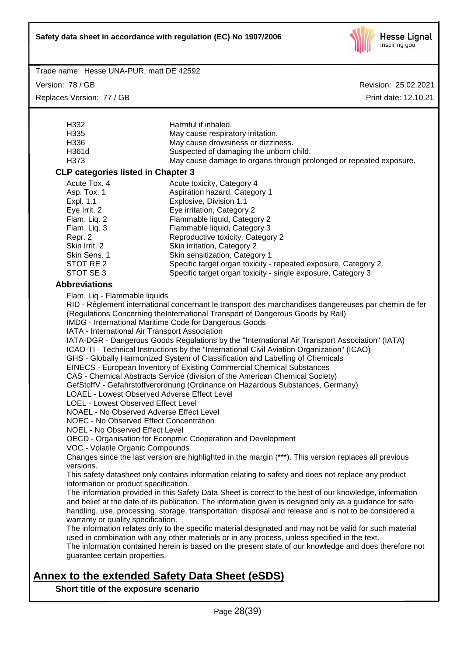

Version: 78 / GB Replaces Version: 77 / GB Revision: 25.02.2021 Print date: 12.10.21

| H332                                                                                                                | Harmful if inhaled.                                                                                      |  |  |
|---------------------------------------------------------------------------------------------------------------------|----------------------------------------------------------------------------------------------------------|--|--|
| H335                                                                                                                | May cause respiratory irritation.                                                                        |  |  |
| H336                                                                                                                | May cause drowsiness or dizziness.                                                                       |  |  |
| H361d                                                                                                               | Suspected of damaging the unborn child.                                                                  |  |  |
| H373                                                                                                                | May cause damage to organs through prolonged or repeated exposure.                                       |  |  |
| <b>CLP categories listed in Chapter 3</b>                                                                           |                                                                                                          |  |  |
| Acute Tox. 4                                                                                                        | Acute toxicity, Category 4                                                                               |  |  |
| Asp. Tox. 1                                                                                                         | Aspiration hazard, Category 1                                                                            |  |  |
| Expl. 1.1                                                                                                           | Explosive, Division 1.1                                                                                  |  |  |
| Eye Irrit. 2                                                                                                        | Eye irritation, Category 2                                                                               |  |  |
| Flam. Liq. 2                                                                                                        | Flammable liquid, Category 2                                                                             |  |  |
| Flam. Liq. 3                                                                                                        | Flammable liquid, Category 3                                                                             |  |  |
| Repr. 2                                                                                                             | Reproductive toxicity, Category 2                                                                        |  |  |
| Skin Irrit. 2                                                                                                       | Skin irritation, Category 2                                                                              |  |  |
| Skin Sens. 1                                                                                                        | Skin sensitization, Category 1                                                                           |  |  |
| STOT RE 2                                                                                                           | Specific target organ toxicity - repeated exposure, Category 2                                           |  |  |
| STOT SE 3                                                                                                           | Specific target organ toxicity - single exposure, Category 3                                             |  |  |
| <b>Abbreviations</b>                                                                                                |                                                                                                          |  |  |
| Flam. Liq - Flammable liquids                                                                                       |                                                                                                          |  |  |
|                                                                                                                     | RID - Règlement international concernant le transport des marchandises dangereuses par chemin de fer     |  |  |
|                                                                                                                     | (Regulations Concerning theInternational Transport of Dangerous Goods by Rail)                           |  |  |
|                                                                                                                     | IMDG - International Maritime Code for Dangerous Goods                                                   |  |  |
| IATA - International Air Transport Association                                                                      |                                                                                                          |  |  |
| IATA-DGR - Dangerous Goods Regulations by the "International Air Transport Association" (IATA)                      |                                                                                                          |  |  |
| ICAO-TI - Technical Instructions by the "International Civil Aviation Organization" (ICAO)                          |                                                                                                          |  |  |
| GHS - Globally Harmonized System of Classification and Labelling of Chemicals                                       |                                                                                                          |  |  |
| EINECS - European Inventory of Existing Commercial Chemical Substances                                              |                                                                                                          |  |  |
| CAS - Chemical Abstracts Service (division of the American Chemical Society)                                        |                                                                                                          |  |  |
|                                                                                                                     | GefStoffV - Gefahrstoffverordnung (Ordinance on Hazardous Substances, Germany)                           |  |  |
| LOAEL - Lowest Observed Adverse Effect Level                                                                        |                                                                                                          |  |  |
|                                                                                                                     | <b>LOEL - Lowest Observed Effect Level</b>                                                               |  |  |
|                                                                                                                     | NOAEL - No Observed Adverse Effect Level                                                                 |  |  |
|                                                                                                                     | <b>NOEC - No Observed Effect Concentration</b>                                                           |  |  |
| <b>NOEL - No Observed Effect Level</b>                                                                              |                                                                                                          |  |  |
|                                                                                                                     | OECD - Organisation for Econpmic Cooperation and Development                                             |  |  |
| VOC - Volatile Organic Compounds                                                                                    |                                                                                                          |  |  |
| Changes since the last version are highlighted in the margin (***). This version replaces all previous<br>versions. |                                                                                                          |  |  |
|                                                                                                                     | This safety datasheet only contains information relating to safety and does not replace any product      |  |  |
| information or product specification.                                                                               |                                                                                                          |  |  |
|                                                                                                                     | The information provided in this Safety Data Sheet is correct to the best of our knowledge, information  |  |  |
|                                                                                                                     | and belief at the date of its publication. The information given is designed only as a guidance for safe |  |  |
|                                                                                                                     | handling, use, processing, storage, transportation, disposal and release and is not to be considered a   |  |  |
| warranty or quality specification.                                                                                  |                                                                                                          |  |  |
|                                                                                                                     | The information relates only to the specific material designated and may not be valid for such material  |  |  |
|                                                                                                                     | used in combination with any other materials or in any process, unless specified in the text.            |  |  |
|                                                                                                                     | The information contained herein is based on the present state of our knowledge and does therefore not   |  |  |
| guarantee certain properties.                                                                                       |                                                                                                          |  |  |
|                                                                                                                     |                                                                                                          |  |  |

# **Annex to the extended Safety Data Sheet (eSDS)**

**Short title of the exposure scenario**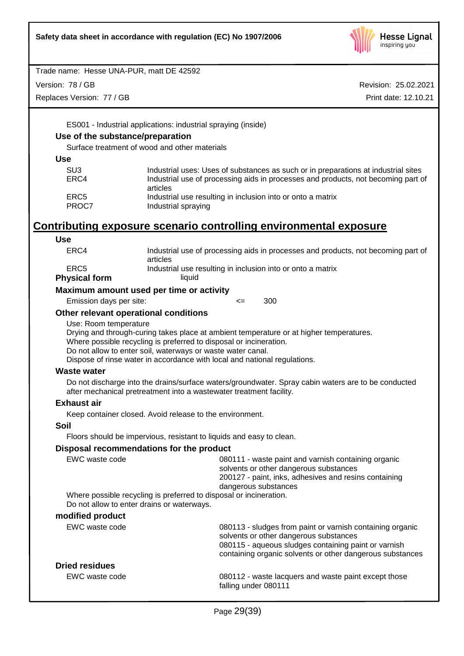

Version: 78 / GB

Replaces Version: 77 / GB

Revision: 25.02.2021 Print date: 12.10.21

ES001 - Industrial applications: industrial spraying (inside)

## **Use of the substance/preparation**

Surface treatment of wood and other materials

| SU3   | Industrial uses: Uses of substances as such or in preparations at industrial sites |
|-------|------------------------------------------------------------------------------------|
| ERC4  | Industrial use of processing aids in processes and products, not becoming part of  |
|       | articles                                                                           |
| ERC5  | Industrial use resulting in inclusion into or onto a matrix                        |
| PROC7 | Industrial spraying                                                                |

# **Contributing exposure scenario controlling environmental exposure**

| Use                                        |                                                                                                                                                                                                                |                      |                                                                                                                                                                                                                          |  |
|--------------------------------------------|----------------------------------------------------------------------------------------------------------------------------------------------------------------------------------------------------------------|----------------------|--------------------------------------------------------------------------------------------------------------------------------------------------------------------------------------------------------------------------|--|
| ERC4                                       | articles                                                                                                                                                                                                       |                      | Industrial use of processing aids in processes and products, not becoming part of                                                                                                                                        |  |
| ERC <sub>5</sub>                           |                                                                                                                                                                                                                |                      | Industrial use resulting in inclusion into or onto a matrix                                                                                                                                                              |  |
| <b>Physical form</b>                       | liquid                                                                                                                                                                                                         |                      |                                                                                                                                                                                                                          |  |
| Maximum amount used per time or activity   |                                                                                                                                                                                                                |                      |                                                                                                                                                                                                                          |  |
| Emission days per site:                    |                                                                                                                                                                                                                | $\leq$               | 300                                                                                                                                                                                                                      |  |
| Other relevant operational conditions      |                                                                                                                                                                                                                |                      |                                                                                                                                                                                                                          |  |
| Use: Room temperature                      | Where possible recycling is preferred to disposal or incineration.<br>Do not allow to enter soil, waterways or waste water canal.<br>Dispose of rinse water in accordance with local and national regulations. |                      | Drying and through-curing takes place at ambient temperature or at higher temperatures.                                                                                                                                  |  |
| <b>Waste water</b>                         |                                                                                                                                                                                                                |                      |                                                                                                                                                                                                                          |  |
|                                            | after mechanical pretreatment into a wastewater treatment facility.                                                                                                                                            |                      | Do not discharge into the drains/surface waters/groundwater. Spray cabin waters are to be conducted                                                                                                                      |  |
| <b>Exhaust air</b>                         |                                                                                                                                                                                                                |                      |                                                                                                                                                                                                                          |  |
|                                            | Keep container closed. Avoid release to the environment.                                                                                                                                                       |                      |                                                                                                                                                                                                                          |  |
| Soil                                       |                                                                                                                                                                                                                |                      |                                                                                                                                                                                                                          |  |
|                                            | Floors should be impervious, resistant to liquids and easy to clean.                                                                                                                                           |                      |                                                                                                                                                                                                                          |  |
| Disposal recommendations for the product   |                                                                                                                                                                                                                |                      |                                                                                                                                                                                                                          |  |
| EWC waste code                             |                                                                                                                                                                                                                |                      | 080111 - waste paint and varnish containing organic<br>solvents or other dangerous substances<br>200127 - paint, inks, adhesives and resins containing<br>dangerous substances                                           |  |
| Do not allow to enter drains or waterways. | Where possible recycling is preferred to disposal or incineration.                                                                                                                                             |                      |                                                                                                                                                                                                                          |  |
| modified product                           |                                                                                                                                                                                                                |                      |                                                                                                                                                                                                                          |  |
| EWC waste code                             |                                                                                                                                                                                                                |                      | 080113 - sludges from paint or varnish containing organic<br>solvents or other dangerous substances<br>080115 - aqueous sludges containing paint or varnish<br>containing organic solvents or other dangerous substances |  |
| <b>Dried residues</b>                      |                                                                                                                                                                                                                |                      |                                                                                                                                                                                                                          |  |
| EWC waste code                             |                                                                                                                                                                                                                | falling under 080111 | 080112 - waste lacquers and waste paint except those                                                                                                                                                                     |  |
|                                            |                                                                                                                                                                                                                |                      |                                                                                                                                                                                                                          |  |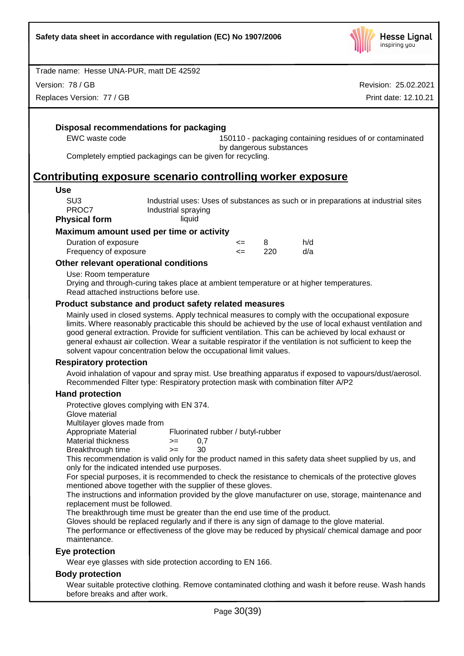

Version: 78 / GB

Replaces Version: 77 / GB

Revision: 25.02.2021 Print date: 12.10.21

**Disposal recommendations for packaging**

EWC waste code 150110 - packaging containing residues of or contaminated by dangerous substances

Completely emptied packagings can be given for recycling.

## **Contributing exposure scenario controlling worker exposure**

#### **Use**

| SU3           | Industrial uses: Uses of substances as such or in preparations at industrial sites |
|---------------|------------------------------------------------------------------------------------|
| PROC7         | Industrial spraying                                                                |
| Physical form | liquid                                                                             |

## **Maximum amount used per time or activity**

| Duration of exposure  | <= |     | h/d |
|-----------------------|----|-----|-----|
| Frequency of exposure |    | 220 | d/a |

## **Other relevant operational conditions**

Use: Room temperature

Drying and through-curing takes place at ambient temperature or at higher temperatures. Read attached instructions before use.

## **Product substance and product safety related measures**

Mainly used in closed systems. Apply technical measures to comply with the occupational exposure limits. Where reasonably practicable this should be achieved by the use of local exhaust ventilation and good general extraction. Provide for sufficient ventilation. This can be achieved by local exhaust or general exhaust air collection. Wear a suitable respirator if the ventilation is not sufficient to keep the solvent vapour concentration below the occupational limit values.

#### **Respiratory protection**

Avoid inhalation of vapour and spray mist. Use breathing apparatus if exposed to vapours/dust/aerosol. Recommended Filter type: Respiratory protection mask with combination filter A/P2

## **Hand protection**

Protective gloves complying with EN 374.

Glove material

Multilayer gloves made from<br>Appropriate Material

Fluorinated rubber / butyl-rubber

- $M$ aterial thickness  $> = 0.7$
- Breakthrough time >= 30

This recommendation is valid only for the product named in this safety data sheet supplied by us, and only for the indicated intended use purposes.

For special purposes, it is recommended to check the resistance to chemicals of the protective gloves mentioned above together with the supplier of these gloves.

The instructions and information provided by the glove manufacturer on use, storage, maintenance and replacement must be followed.

The breakthrough time must be greater than the end use time of the product.

Gloves should be replaced regularly and if there is any sign of damage to the glove material.

The performance or effectiveness of the glove may be reduced by physical/ chemical damage and poor maintenance.

## **Eye protection**

Wear eye glasses with side protection according to EN 166.

## **Body protection**

Wear suitable protective clothing. Remove contaminated clothing and wash it before reuse. Wash hands before breaks and after work.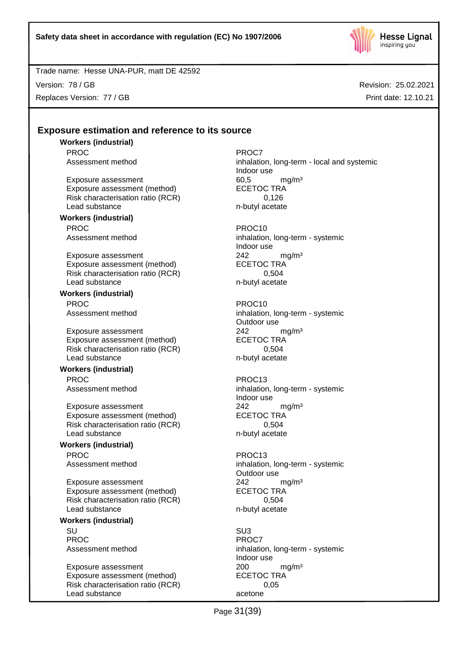

Version: 78 / GB Replaces Version: 77 / GB Revision: 25.02.2021 Print date: 12.10.21

## **Exposure estimation and reference to its source**

**Workers (industrial)** PROC PROCT PROCT PROCT

Exposure assessment 60,5 mg/m<sup>3</sup><br>Exposure assessment (method) ECETOC TRA Exposure assessment (method) Risk characterisation ratio (RCR) 0,126 Lead substance n-butyl acetate

#### **Workers (industrial)** PROC PROC10

Exposure assessment 242 mg/m<sup>3</sup> Exposure assessment (method) ECETOC TRA Risk characterisation ratio (RCR) 0,504 Lead substance n-butyl acetate

**Workers (industrial)** PROC PROC10

Exposure assessment <br>
Exposure assessment (method) 
ECETOC TRA Exposure assessment (method) Risk characterisation ratio (RCR) 0,504 Lead substance n-butyl acetate

## **Workers (industrial)**

PROC PROC13

Exposure assessment  $242$  mg/m<sup>3</sup><br>Exposure assessment (method) ECETOC TRA Exposure assessment (method) Risk characterisation ratio (RCR) 0,504 Lead substance n-butyl acetate

## **Workers (industrial)** PROC PROC13

Exposure assessment <br>
Exposure assessment (method) 
ECETOC TRA Exposure assessment (method) Risk characterisation ratio (RCR) 0,504 Lead substance n-butyl acetate

#### **Workers (industrial)**

SU SU3 PROC<sup>PROC</sup> PROCT

Exposure assessment <br>
Exposure assessment (method) 
<br>
ECETOC TRA Exposure assessment (method) Risk characterisation ratio (RCR) 0,05 Lead substance acetone

Assessment method inhalation, long-term - local and systemic Indoor use

Assessment method inhalation, long-term - systemic Indoor use

Assessment method inhalation, long-term - systemic Outdoor use

Assessment method inhalation, long-term - systemic Indoor use

Assessment method inhalation, long-term - systemic Outdoor use

Assessment method inhalation, long-term - systemic Indoor use

Page 31(39)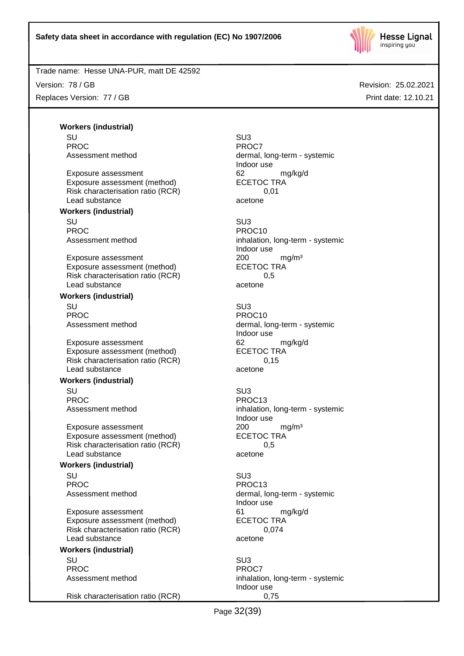

Version: 78 / GB Replaces Version: 77 / GB Revision: 25.02.2021 Print date: 12.10.21

**Workers (industrial)** SU SU3 PROC<sup>P</sup> PROCT

Exposure assessment details are to the control of the exposure assessment (method) and the ECETOC TRA control of the exponent of the ECETOC TRA control of the exponent of the exponent of the exponent of the exponent of the Exposure assessment (method) Risk characterisation ratio (RCR) 0,01 Lead substance acetone

### **Workers (industrial)**

SU SU3 PROC PROCTER PROCTER PROCTER PROCTER PROCTER PROCTER PROCTER PROCTER PROCTER PROCTER PROCTER PROCTER PROCTER PROCTER PROCTER PROCTER PROCTER PROCTER PROCTER PROCTER PROCTER PROCTER PROCTER PROCTER PROCTER PROCTER PROCTER P

Exposure assessment 200 mg/m<sup>3</sup> Exposure assessment (method) ECETOC TRA Risk characterisation ratio (RCR) 0,5 Lead substance acetone

## **Workers (industrial)**

SU SU3 PROC PROC10

Exposure assessment 62 mg/kg/d Exposure assessment (method) ECETOC TRA Risk characterisation ratio (RCR) 0,15 Lead substance acetone

#### **Workers (industrial)**

SU SU3 PROC PROC13

Exposure assessment <br>
Exposure assessment (method) 
<br>
ECETOC TRA Exposure assessment (method) Risk characterisation ratio (RCR) 0,5 Lead substance acetone

#### **Workers (industrial)**

SU SU3 PROC PROCTER PROCTER PROCTER PROCTER PROCTER PROCTER PROCTER PROCTER PROCTER PROCTER PROCTER PROCTER PROCTER PROCTER PROCTER PROCTER PROCTER PROCTER PROCTER PROCTER PROCTER PROCTER PROCTER PROCTER PROCTER PROCTER PROCTER P

Exposure assessment details are to the control of the manufacture of the manufacture of the manufacture of the<br>
ECETOC TRA Exposure assessment (method) Risk characterisation ratio (RCR) 0,074 Lead substance acetone

## **Workers (industrial)**

SU SU3 PROC<sup>PROC</sup> PROCT

Risk characterisation ratio (RCR) 0,75

Assessment method dermal, long-term - systemic Indoor use

Assessment method inhalation, long-term - systemic Indoor use

Assessment method dermal, long-term - systemic Indoor use

Assessment method inhalation, long-term - systemic Indoor use

Assessment method dermal, long-term - systemic Indoor use

Assessment method inhalation, long-term - systemic Indoor use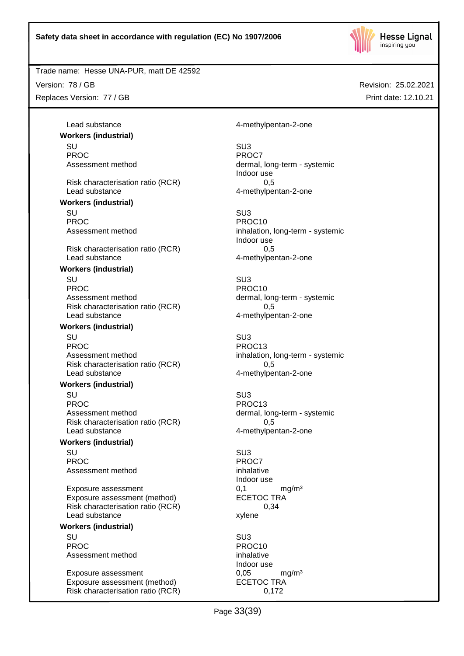

## Trade name: Hesse UNA-PUR, matt DE 42592

Version: 78 / GB Replaces Version: 77 / GB Revision: 25.02.2021 Print date: 12.10.21

**Workers (industrial)** SU SU3 PROC<sup>PROC</sup> PROCT Risk characterisation ratio (RCR) 0,5 Lead substance and the contract of the 4-methylpentan-2-one **Workers (industrial)** SU SU3 PROC<br>Assessment method<br>Assessment method<br>Assessment method

Risk characterisation ratio (RCR) 0,5 Lead substance and the 4-methylpentan-2-one

#### **Workers (industrial)**

SU SU3 PROC PROCTER PROCTER PROCTER PROCTER PROCTER PROCTER PROCTER PROCTER PROCTER PROCTER PROCTER PROCTER PROCTER PROCTER PROCTER PROCTER PROCTER PROCTER PROCTER PROCTER PROCTER PROCTER PROCTER PROCTER PROCTER PROCTER PROCTER P Assessment method dermal, long-term - systemic Risk characterisation ratio (RCR) 0,5 Lead substance example and the 4-methylpentan-2-one

#### **Workers (industrial)**

SU SU3 PROC PROC13 Assessment method inhalation, long-term - systemic Risk characterisation ratio (RCR) 0,5 Lead substance and the 4-methylpentan-2-one

## **Workers (industrial)**

SU SU3 PROC PROC13 Assessment method dermal, long-term - systemic Risk characterisation ratio (RCR) 0,5 Lead substance and the 4-methylpentan-2-one

#### **Workers (industrial)**

SU SU3 PROC<sup>P</sup> PROCT PROCT Assessment method inhalative

Exposure assessment 0,1 mg/m<sup>3</sup> Exposure assessment (method) ECETOC TRA Risk characterisation ratio (RCR) 0,34 Lead substance xylene

## **Workers (industrial)**

SU SU3 PROC PROCTER PROCTER PROCTER PROCTER PROCTER PROCTER PROCTER PROCTER PROCTER PROCTER PROCTER PROCTER PROCTER PROCTER PROCTER PROCTER PROCTER PROCTER PROCTER PROCTER PROCTER PROCTER PROCTER PROCTER PROCTER PROCTER PROCTER P Assessment method inhalative

Exposure assessment 0,05 mg/m<sup>3</sup> Exposure assessment (method) ECETOC TRA Risk characterisation ratio (RCR) 0,172

Lead substance and the 4-methylpentan-2-one

Assessment method dermal, long-term - systemic Indoor use

> inhalation, long-term - systemic Indoor use

Indoor use

Indoor use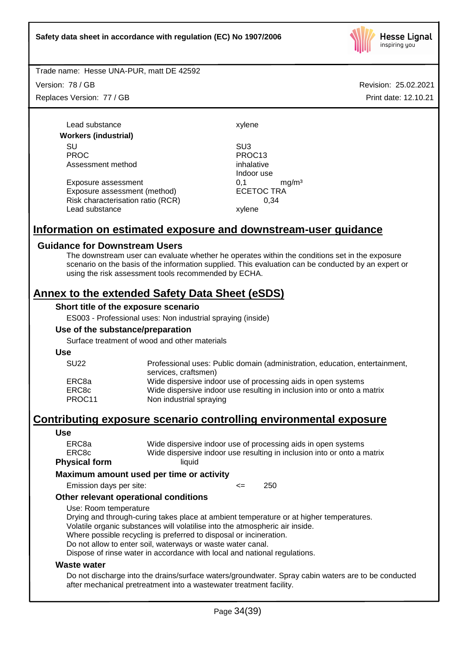

Version: 78 / GB Replaces Version: 77 / GB

Lead substance xylene **Workers (industrial)** SU SU3 PROC PROC13 Assessment method inhalative

Exposure assessment <br>
Exposure assessment (method) 
ECETOC TRA Exposure assessment (method) Risk characterisation ratio (RCR) 0,34 Lead substance xylene

Indoor use

# **Information on estimated exposure and downstream-user guidance**

## **Guidance for Downstream Users**

The downstream user can evaluate whether he operates within the conditions set in the exposure scenario on the basis of the information supplied. This evaluation can be conducted by an expert or using the risk assessment tools recommended by ECHA.

## **Annex to the extended Safety Data Sheet (eSDS)**

#### **Short title of the exposure scenario**

ES003 - Professional uses: Non industrial spraying (inside)

#### **Use of the substance/preparation**

Surface treatment of wood and other materials

**Use**

| <b>SU22</b> | Professional uses: Public domain (administration, education, entertainment, |
|-------------|-----------------------------------------------------------------------------|
|             | services, craftsmen)                                                        |
| ERC8a       | Wide dispersive indoor use of processing aids in open systems               |
| ERC8c       | Wide dispersive indoor use resulting in inclusion into or onto a matrix     |
| PROC11      | Non industrial spraying                                                     |

# **Contributing exposure scenario controlling environmental exposure**

#### **Use**

| ERC8a         | Wide dispersive indoor use of processing aids in open systems           |
|---------------|-------------------------------------------------------------------------|
| ERC8c         | Wide dispersive indoor use resulting in inclusion into or onto a matrix |
| Physical form | liauid                                                                  |

#### **Maximum amount used per time or activity**

Emission days per site: <= 250

#### **Other relevant operational conditions**

Use: Room temperature

Drying and through-curing takes place at ambient temperature or at higher temperatures. Volatile organic substances will volatilise into the atmospheric air inside.

Where possible recycling is preferred to disposal or incineration.

Do not allow to enter soil, waterways or waste water canal.

Dispose of rinse water in accordance with local and national regulations.

#### **Waste water**

Do not discharge into the drains/surface waters/groundwater. Spray cabin waters are to be conducted after mechanical pretreatment into a wastewater treatment facility.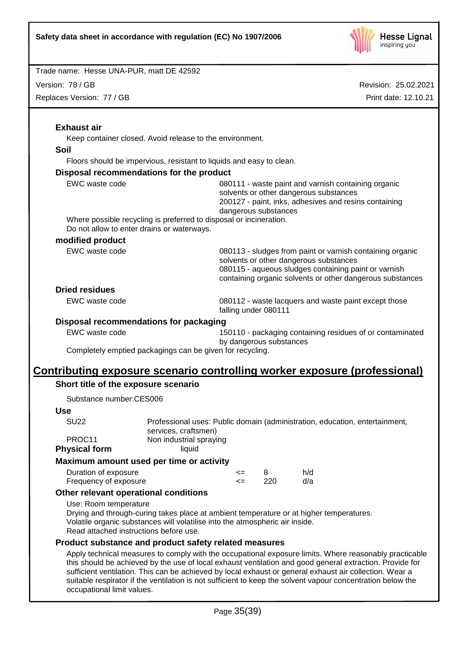

Version: 78 / GB

Replaces Version: 77 / GB

| <b>Exhaust air</b>                                    |                                                                                                                        |                                                                                                                                                                                                                          |                                                                                                                                                                                |                                                                                                                                                                                                                                                                                                                                                                                                                                              |  |
|-------------------------------------------------------|------------------------------------------------------------------------------------------------------------------------|--------------------------------------------------------------------------------------------------------------------------------------------------------------------------------------------------------------------------|--------------------------------------------------------------------------------------------------------------------------------------------------------------------------------|----------------------------------------------------------------------------------------------------------------------------------------------------------------------------------------------------------------------------------------------------------------------------------------------------------------------------------------------------------------------------------------------------------------------------------------------|--|
|                                                       | Keep container closed. Avoid release to the environment.                                                               |                                                                                                                                                                                                                          |                                                                                                                                                                                |                                                                                                                                                                                                                                                                                                                                                                                                                                              |  |
| Soil                                                  |                                                                                                                        |                                                                                                                                                                                                                          |                                                                                                                                                                                |                                                                                                                                                                                                                                                                                                                                                                                                                                              |  |
|                                                       | Floors should be impervious, resistant to liquids and easy to clean.                                                   |                                                                                                                                                                                                                          |                                                                                                                                                                                |                                                                                                                                                                                                                                                                                                                                                                                                                                              |  |
| Disposal recommendations for the product              |                                                                                                                        |                                                                                                                                                                                                                          |                                                                                                                                                                                |                                                                                                                                                                                                                                                                                                                                                                                                                                              |  |
| EWC waste code                                        |                                                                                                                        |                                                                                                                                                                                                                          | 080111 - waste paint and varnish containing organic<br>solvents or other dangerous substances<br>200127 - paint, inks, adhesives and resins containing<br>dangerous substances |                                                                                                                                                                                                                                                                                                                                                                                                                                              |  |
|                                                       | Where possible recycling is preferred to disposal or incineration.<br>Do not allow to enter drains or waterways.       |                                                                                                                                                                                                                          |                                                                                                                                                                                |                                                                                                                                                                                                                                                                                                                                                                                                                                              |  |
| modified product                                      |                                                                                                                        |                                                                                                                                                                                                                          |                                                                                                                                                                                |                                                                                                                                                                                                                                                                                                                                                                                                                                              |  |
| EWC waste code                                        |                                                                                                                        | 080113 - sludges from paint or varnish containing organic<br>solvents or other dangerous substances<br>080115 - aqueous sludges containing paint or varnish<br>containing organic solvents or other dangerous substances |                                                                                                                                                                                |                                                                                                                                                                                                                                                                                                                                                                                                                                              |  |
| <b>Dried residues</b>                                 |                                                                                                                        |                                                                                                                                                                                                                          |                                                                                                                                                                                |                                                                                                                                                                                                                                                                                                                                                                                                                                              |  |
| <b>EWC</b> waste code                                 |                                                                                                                        | falling under 080111                                                                                                                                                                                                     |                                                                                                                                                                                | 080112 - waste lacquers and waste paint except those                                                                                                                                                                                                                                                                                                                                                                                         |  |
| Disposal recommendations for packaging                |                                                                                                                        |                                                                                                                                                                                                                          |                                                                                                                                                                                |                                                                                                                                                                                                                                                                                                                                                                                                                                              |  |
| EWC waste code                                        |                                                                                                                        | 150110 - packaging containing residues of or contaminated<br>by dangerous substances                                                                                                                                     |                                                                                                                                                                                |                                                                                                                                                                                                                                                                                                                                                                                                                                              |  |
|                                                       | Completely emptied packagings can be given for recycling.                                                              |                                                                                                                                                                                                                          |                                                                                                                                                                                |                                                                                                                                                                                                                                                                                                                                                                                                                                              |  |
|                                                       |                                                                                                                        |                                                                                                                                                                                                                          |                                                                                                                                                                                |                                                                                                                                                                                                                                                                                                                                                                                                                                              |  |
| Short title of the exposure scenario                  |                                                                                                                        |                                                                                                                                                                                                                          |                                                                                                                                                                                | Contributing exposure scenario controlling worker exposure (professional)                                                                                                                                                                                                                                                                                                                                                                    |  |
| Substance number:CES006                               |                                                                                                                        |                                                                                                                                                                                                                          |                                                                                                                                                                                |                                                                                                                                                                                                                                                                                                                                                                                                                                              |  |
| <b>Use</b>                                            |                                                                                                                        |                                                                                                                                                                                                                          |                                                                                                                                                                                |                                                                                                                                                                                                                                                                                                                                                                                                                                              |  |
| <b>SU22</b>                                           |                                                                                                                        | Professional uses: Public domain (administration, education, entertainment,                                                                                                                                              |                                                                                                                                                                                |                                                                                                                                                                                                                                                                                                                                                                                                                                              |  |
| PROC11<br><b>Physical form</b>                        | services, craftsmen)<br>Non industrial spraying<br>liquid                                                              |                                                                                                                                                                                                                          |                                                                                                                                                                                |                                                                                                                                                                                                                                                                                                                                                                                                                                              |  |
| Maximum amount used per time or activity              |                                                                                                                        |                                                                                                                                                                                                                          |                                                                                                                                                                                |                                                                                                                                                                                                                                                                                                                                                                                                                                              |  |
| Duration of exposure                                  |                                                                                                                        | <=                                                                                                                                                                                                                       | 8                                                                                                                                                                              | h/d                                                                                                                                                                                                                                                                                                                                                                                                                                          |  |
| Frequency of exposure                                 |                                                                                                                        | $\leq$                                                                                                                                                                                                                   | 220                                                                                                                                                                            | d/a                                                                                                                                                                                                                                                                                                                                                                                                                                          |  |
| Other relevant operational conditions                 |                                                                                                                        |                                                                                                                                                                                                                          |                                                                                                                                                                                |                                                                                                                                                                                                                                                                                                                                                                                                                                              |  |
| Use: Room temperature                                 | Volatile organic substances will volatilise into the atmospheric air inside.<br>Read attached instructions before use. |                                                                                                                                                                                                                          |                                                                                                                                                                                | Drying and through-curing takes place at ambient temperature or at higher temperatures.                                                                                                                                                                                                                                                                                                                                                      |  |
| Product substance and product safety related measures |                                                                                                                        |                                                                                                                                                                                                                          |                                                                                                                                                                                |                                                                                                                                                                                                                                                                                                                                                                                                                                              |  |
| occupational limit values.                            |                                                                                                                        |                                                                                                                                                                                                                          |                                                                                                                                                                                | Apply technical measures to comply with the occupational exposure limits. Where reasonably practicable<br>this should be achieved by the use of local exhaust ventilation and good general extraction. Provide for<br>sufficient ventilation. This can be achieved by local exhaust or general exhaust air collection. Wear a<br>suitable respirator if the ventilation is not sufficient to keep the solvent vapour concentration below the |  |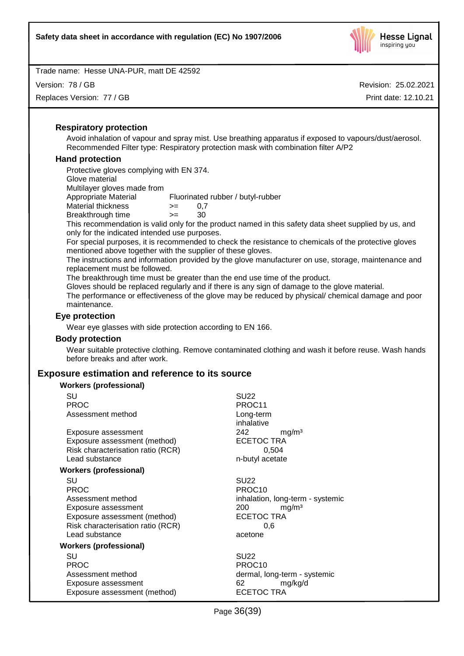

Version: 78 / GB

Replaces Version: 77 / GB

Revision: 25.02.2021 Print date: 12.10.21

### **Respiratory protection**

Avoid inhalation of vapour and spray mist. Use breathing apparatus if exposed to vapours/dust/aerosol. Recommended Filter type: Respiratory protection mask with combination filter A/P2

## **Hand protection**

Protective gloves complying with EN 374. Glove material Multilayer gloves made from Appropriate Material Fluorinated rubber / butyl-rubber Material thickness  $> = 0.7$ Breakthrough time >= 30

This recommendation is valid only for the product named in this safety data sheet supplied by us, and only for the indicated intended use purposes.

For special purposes, it is recommended to check the resistance to chemicals of the protective gloves mentioned above together with the supplier of these gloves.

The instructions and information provided by the glove manufacturer on use, storage, maintenance and replacement must be followed.

The breakthrough time must be greater than the end use time of the product.

Gloves should be replaced regularly and if there is any sign of damage to the glove material.

The performance or effectiveness of the glove may be reduced by physical/ chemical damage and poor maintenance.

## **Eye protection**

Wear eye glasses with side protection according to EN 166.

#### **Body protection**

Wear suitable protective clothing. Remove contaminated clothing and wash it before reuse. Wash hands before breaks and after work.

## **Exposure estimation and reference to its source**

| <b>Workers (professional)</b>     |                                  |  |  |  |
|-----------------------------------|----------------------------------|--|--|--|
| SU                                | <b>SU22</b>                      |  |  |  |
| <b>PROC</b>                       | PROC11                           |  |  |  |
| Assessment method                 | Long-term                        |  |  |  |
|                                   | inhalative                       |  |  |  |
| Exposure assessment               | 242<br>mg/m <sup>3</sup>         |  |  |  |
| Exposure assessment (method)      | <b>ECETOC TRA</b>                |  |  |  |
| Risk characterisation ratio (RCR) | 0,504                            |  |  |  |
| Lead substance                    | n-butyl acetate                  |  |  |  |
| <b>Workers (professional)</b>     |                                  |  |  |  |
| SU                                | <b>SU22</b>                      |  |  |  |
| <b>PROC</b>                       | PROC <sub>10</sub>               |  |  |  |
| Assessment method                 | inhalation, long-term - systemic |  |  |  |
| Exposure assessment               | mg/m <sup>3</sup><br>200         |  |  |  |
| Exposure assessment (method)      | <b>ECETOC TRA</b>                |  |  |  |
| Risk characterisation ratio (RCR) | 0.6                              |  |  |  |
| Lead substance                    | acetone                          |  |  |  |
| Workers (professional)            |                                  |  |  |  |
| SU                                | <b>SU22</b>                      |  |  |  |
| <b>PROC</b>                       | PROC <sub>10</sub>               |  |  |  |
| Assessment method                 | dermal, long-term - systemic     |  |  |  |
| Exposure assessment               | 62<br>mg/kg/d                    |  |  |  |
| Exposure assessment (method)      | ECETOC TRA                       |  |  |  |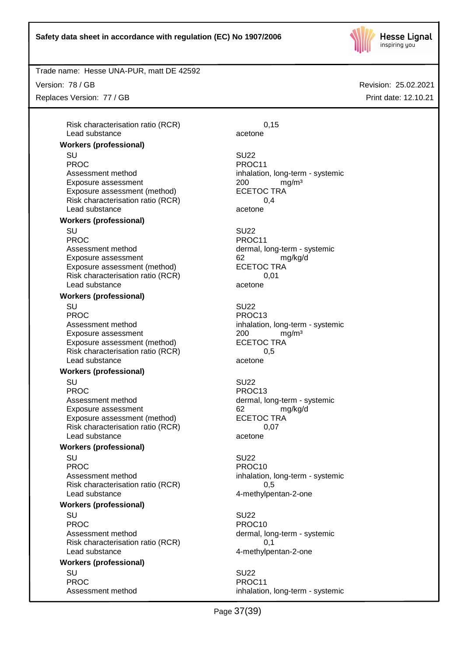

Trade name: Hesse UNA-PUR, matt DE 42592

Version: 78 / GB

Replaces Version: 77 / GB

Risk characterisation ratio (RCR) 0,15 Lead substance acetone

## **Workers (professional)**

SU SU22 PROC PROCTER PROCTER PROCTER PROCTER PROCTER PROCTER PROCTER PROCTER PROCTER PROCTER PROCTER PROCTER PROCTER PROCTER PROCTER PROCTER PROCTER PROCTER PROCTER PROCTER PROCTER PROCTER PROCTER PROCTER PROCTER PROCTER PROCTER P Assessment method inhalation, long-term - systemic Exposure assessment <br>
Exposure assessment (method) 
<br>
ECETOC TRA Exposure assessment (method) Risk characterisation ratio (RCR) 0,4 Lead substance acetone

#### **Workers (professional)**

SU SU22 PROC PROCTER PROCTER PROCTER PROCTER PROCTER PROCTER PROCTER PROCTER PROCTER PROCTER PROCTER PROCTER PROCTER PROCTER PROCTER PROCTER PROCTER PROCTER PROCTER PROCTER PROCTER PROCTER PROCTER PROCTER PROCTER PROCTER PROCTER P Assessment method dermal, long-term - systemic Exposure assessment and the control of the control of the manuform of the manuform of the control of the manufo<br>
ECETOC TRA Exposure assessment (method) Risk characterisation ratio (RCR) 0,01 Lead substance acetone

## **Workers (professional)**

SU SU22 PROC PROC13 Assessment method inhalation, long-term - systemic Exposure assessment <br>
Exposure assessment (method) 
<br>
ECETOC TRA Exposure assessment (method) Risk characterisation ratio (RCR) 0,5 Lead substance acetone

#### **Workers (professional)**

SU SU22

Assessment method dermal, long-term - systemic Exposure assessment and the control of the control of the manufacture of the manufacture of the form of the co<br>
ECETOC TRA Exposure assessment (method) Risk characterisation ratio (RCR) 0,07 Lead substance acetone

## **Workers (professional)**

SU SU22 PROC PROCTES PROCTES PROCTES Assessment method inhalation, long-term - systemic Risk characterisation ratio (RCR) 6.5 Lead substance and the 4-methylpentan-2-one

#### **Workers (professional)**

SU SU22 PROC PROCTER PROCTER PROCTER PROCTER PROCTER PROCTER PROCTER PROCTER PROCTER PROCTER PROCTER PROCTER PROCTER PROCTER PROCTER PROCTER PROCTER PROCTER PROCTER PROCTER PROCTER PROCTER PROCTER PROCTER PROCTER PROCTER PROCTER P Assessment method dermal, long-term - systemic Risk characterisation ratio (RCR) 0,1 Lead substance and the 4-methylpentan-2-one

#### **Workers (professional)** SU SU22

PROC PROCTER PROCTER PROCTER PROCTER PROCTER PROCTER PROCTER PROCTER PROCTER PROCTER PROCTER PROCTER PROCTER PROCTER PROCTER PROCTER PROCTER PROCTER PROCTER PROCTER PROCTER PROCTER PROCTER PROCTER PROCTER PROCTER PROCTER P

PROC PROC13

Assessment method inhalation, long-term - systemic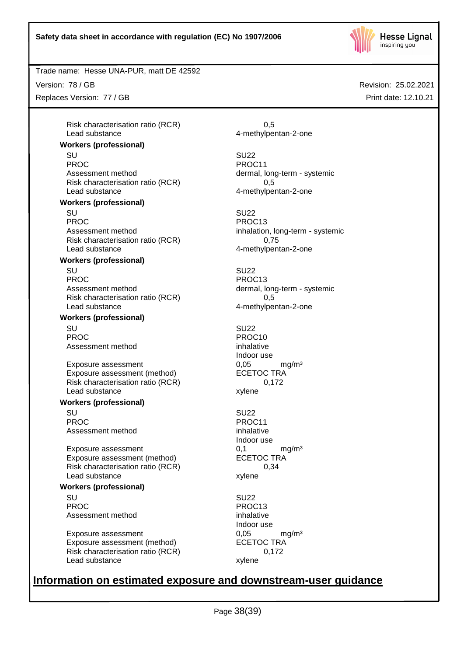

Trade name: Hesse UNA-PUR, matt DE 42592

Version: 78 / GB

Replaces Version: 77 / GB

Risk characterisation ratio (RCR) 6.5 Lead substance 4-methylpentan-2-one

## **Workers (professional)**

SU SU22 PROC PROC11 Assessment method dermal, long-term - systemic Risk characterisation ratio (RCR) 0,5 Lead substance example and the 4-methylpentan-2-one

#### **Workers (professional)**

SU SU22 PROC PROC13 Assessment method inhalation, long-term - systemic Risk characterisation ratio (RCR) 0,75 Lead substance and the 4-methylpentan-2-one

## **Workers (professional)**

SU SU22 PROC PROC13 Assessment method dermal, long-term - systemic Risk characterisation ratio (RCR) 0,5 Lead substance and the 4-methylpentan-2-one

## **Workers (professional)**

SU SU22 PROC PROCTES PROCTES Assessment method inhalative

Exposure assessment 
and the exposure assessment (method) 
and the exposure assessment (method) 
and the exposure assessment (method) 
and the exposure assessment (method) 
and the exposure assessment (method) 
and the exp Exposure assessment (method) Risk characterisation ratio (RCR) 0,172 Lead substance xylene

#### **Workers (professional)**

SU SU22 PROC PROCTER PROC11 Assessment method inhalative

Exposure assessment  $0,1$  mg/m<sup>3</sup><br>Exposure assessment (method) ECETOC TRA Exposure assessment (method) Risk characterisation ratio (RCR) 0,34 Lead substance xylene

#### **Workers (professional)**

SU SU22 PROC PROC13 Assessment method inhalative

Exposure assessment  $0,05$  mg/m<sup>3</sup><br>Exposure assessment (method) ECETOC TRA Exposure assessment (method) Risk characterisation ratio (RCR) 0,172 Lead substance xylene

Indoor use

Indoor use

Indoor use

# **Information on estimated exposure and downstream-user guidance**